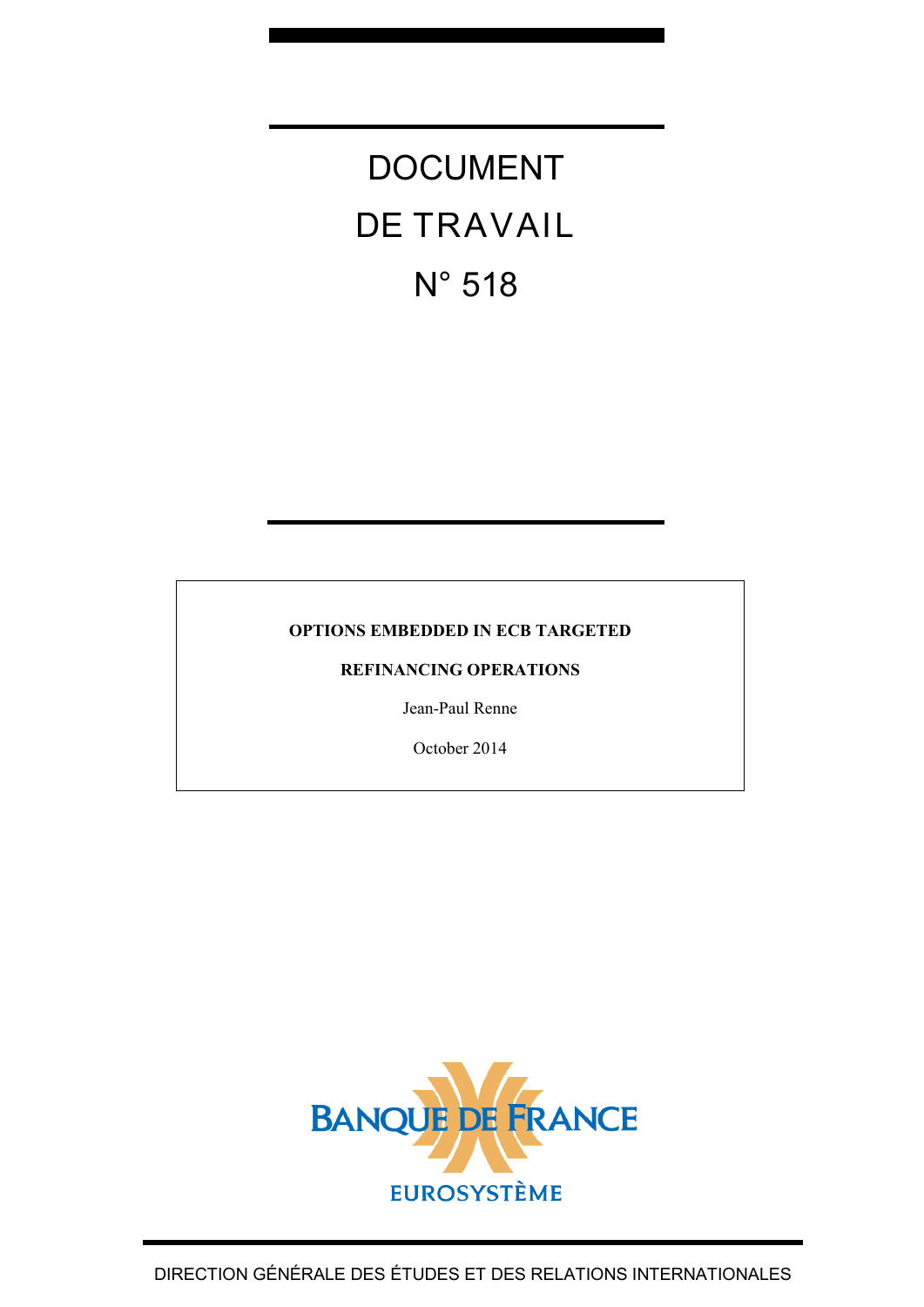# DOCUMENT DE TRAVAIL N° 518

#### **OPTIONS EMBEDDED IN ECB TARGETED**

#### **REFINANCING OPERATIONS**

Jean-Paul Renne

October 2014

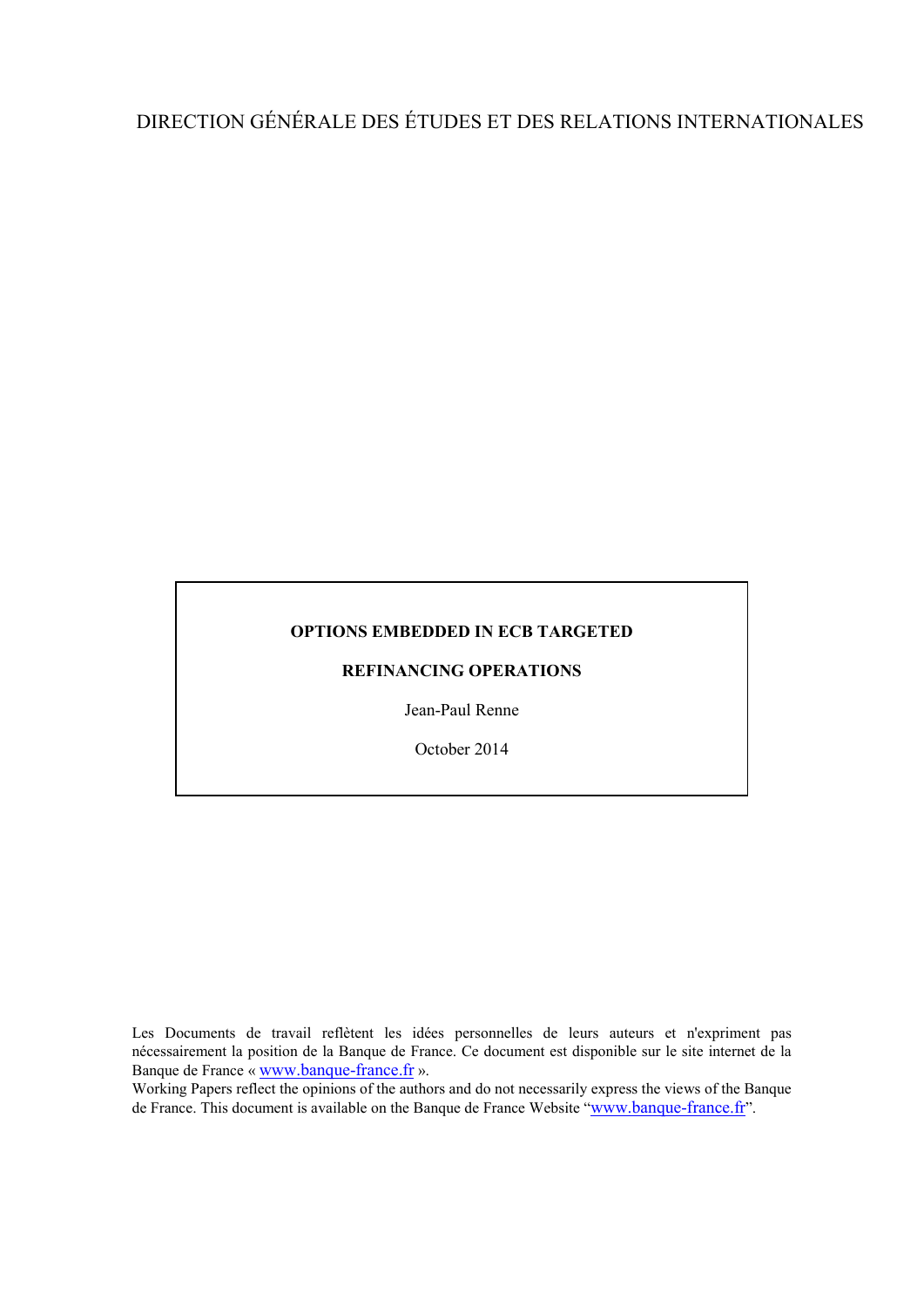## DIRECTION GÉNÉRALE DES ÉTUDES ET DES RELATIONS INTERNATIONALES

#### **OPTIONS EMBEDDED IN ECB TARGETED**

#### **REFINANCING OPERATIONS**

Jean-Paul Renne

October 2014

Les Documents de travail reflètent les idées personnelles de leurs auteurs et n'expriment pas nécessairement la position de la Banque de France. Ce document est disponible sur le site internet de la Banque de France « [www.banque-france.fr](http://www.banque-france.fr/) ».

Working Papers reflect the opinions of the authors and do not necessarily express the views of the Banque de France. This document is available on the Banque de France Website ["www.banque-france.fr"](http://www.banque-france.fr/).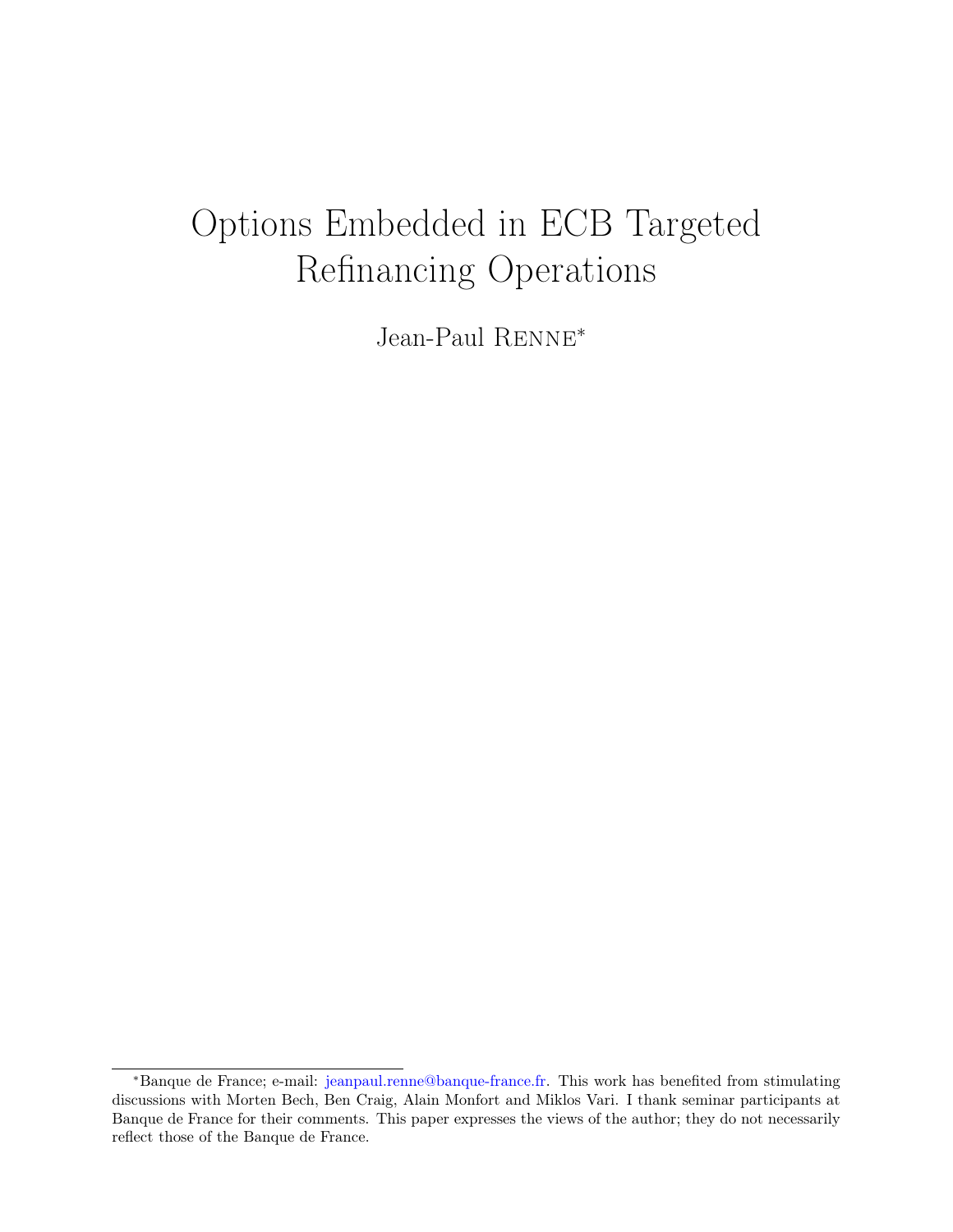## <span id="page-2-0"></span>Options Embedded in ECB Targeted Refinancing Operations

Jean-Paul Renne<sup>∗</sup>

<sup>∗</sup>Banque de France; e-mail: [jeanpaul.renne@banque-france.fr.](mailto:jeanpaul.renne@banque-france.fr) This work has benefited from stimulating discussions with Morten Bech, Ben Craig, Alain Monfort and Miklos Vari. I thank seminar participants at Banque de France for their comments. This paper expresses the views of the author; they do not necessarily reflect those of the Banque de France.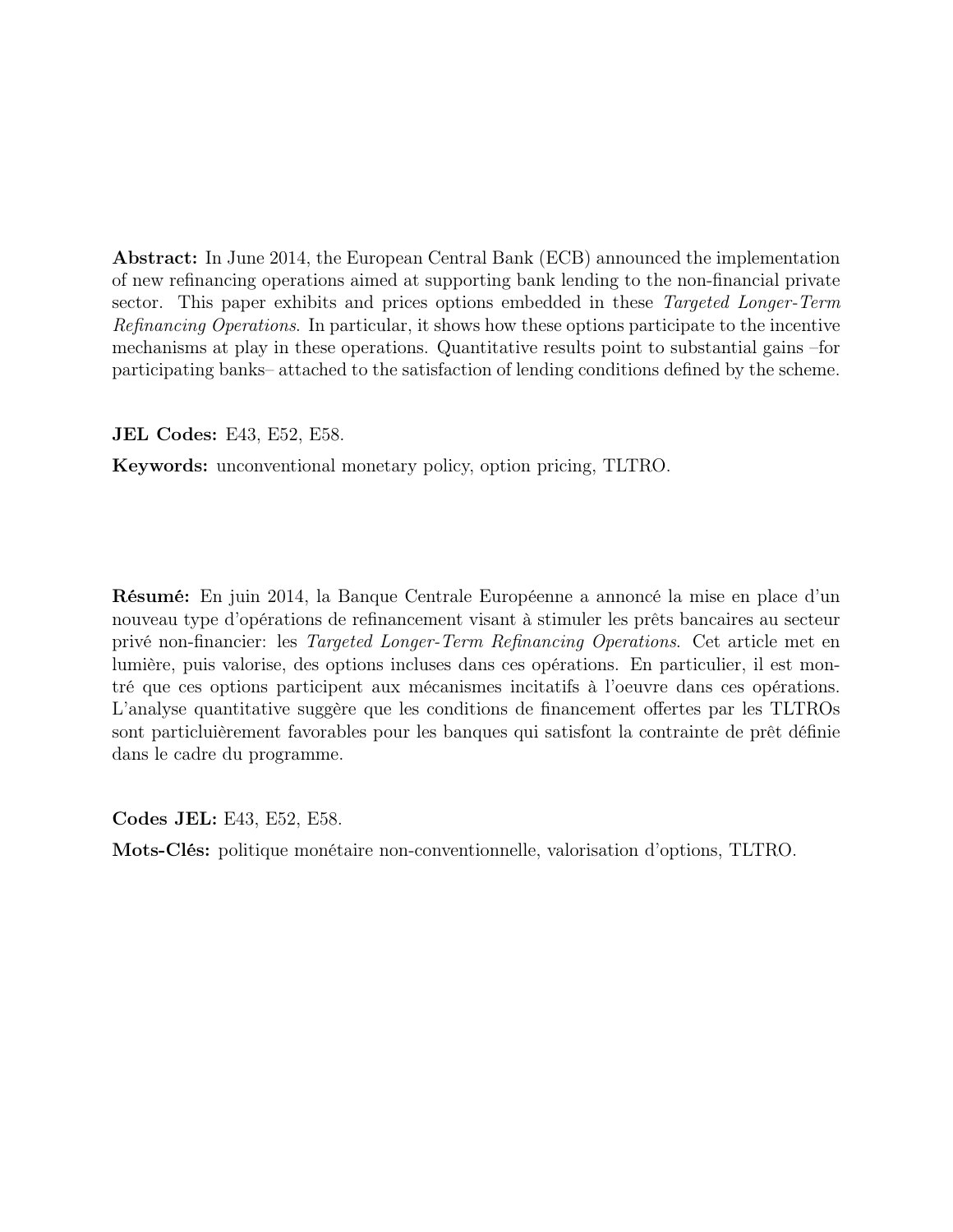Abstract: In June 2014, the European Central Bank (ECB) announced the implementation of new refinancing operations aimed at supporting bank lending to the non-financial private sector. This paper exhibits and prices options embedded in these Targeted Longer-Term Refinancing Operations. In particular, it shows how these options participate to the incentive mechanisms at play in these operations. Quantitative results point to substantial gains –for participating banks– attached to the satisfaction of lending conditions defined by the scheme.

JEL Codes: E43, E52, E58.

Keywords: unconventional monetary policy, option pricing, TLTRO.

Résumé: En juin 2014, la Banque Centrale Européenne a annoncé la mise en place d'un nouveau type d'opérations de refinancement visant à stimuler les prêts bancaires au secteur privé non-financier: les Targeted Longer-Term Refinancing Operations. Cet article met en lumière, puis valorise, des options incluses dans ces opérations. En particulier, il est montré que ces options participent aux mécanismes incitatifs à l'oeuvre dans ces opérations. L'analyse quantitative suggère que les conditions de financement offertes par les TLTROs sont particluièrement favorables pour les banques qui satisfont la contrainte de prêt définie dans le cadre du programme.

Codes JEL: E43, E52, E58.

Mots-Clés: politique monétaire non-conventionnelle, valorisation d'options, TLTRO.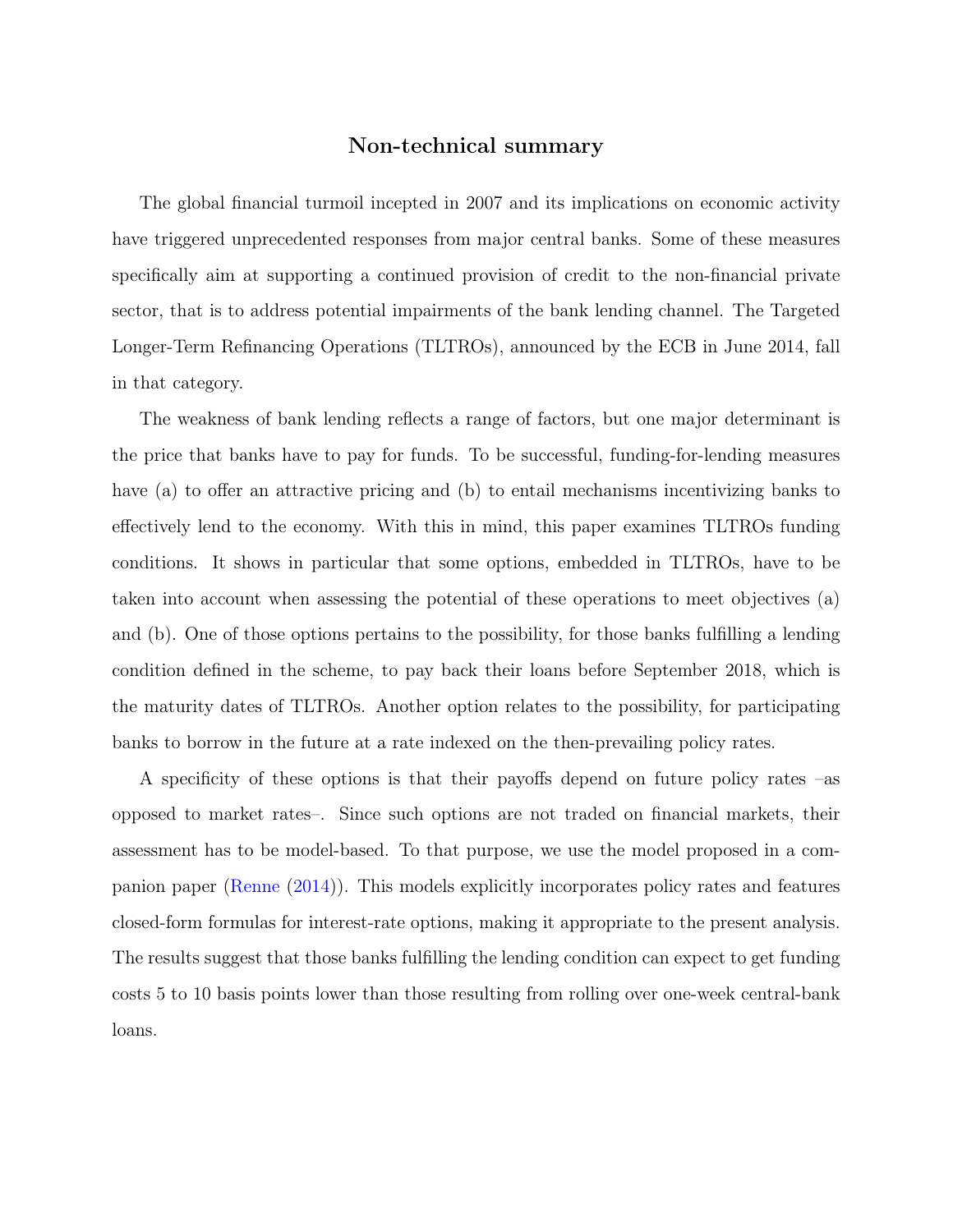#### Non-technical summary

The global financial turmoil incepted in 2007 and its implications on economic activity have triggered unprecedented responses from major central banks. Some of these measures specifically aim at supporting a continued provision of credit to the non-financial private sector, that is to address potential impairments of the bank lending channel. The Targeted Longer-Term Refinancing Operations (TLTROs), announced by the ECB in June 2014, fall in that category.

The weakness of bank lending reflects a range of factors, but one major determinant is the price that banks have to pay for funds. To be successful, funding-for-lending measures have (a) to offer an attractive pricing and (b) to entail mechanisms incentivizing banks to effectively lend to the economy. With this in mind, this paper examines TLTROs funding conditions. It shows in particular that some options, embedded in TLTROs, have to be taken into account when assessing the potential of these operations to meet objectives (a) and (b). One of those options pertains to the possibility, for those banks fulfilling a lending condition defined in the scheme, to pay back their loans before September 2018, which is the maturity dates of TLTROs. Another option relates to the possibility, for participating banks to borrow in the future at a rate indexed on the then-prevailing policy rates.

A specificity of these options is that their payoffs depend on future policy rates –as opposed to market rates–. Since such options are not traded on financial markets, their assessment has to be model-based. To that purpose, we use the model proposed in a companion paper [\(Renne](#page-25-0) [\(2014\)](#page-25-0)). This models explicitly incorporates policy rates and features closed-form formulas for interest-rate options, making it appropriate to the present analysis. The results suggest that those banks fulfilling the lending condition can expect to get funding costs 5 to 10 basis points lower than those resulting from rolling over one-week central-bank loans.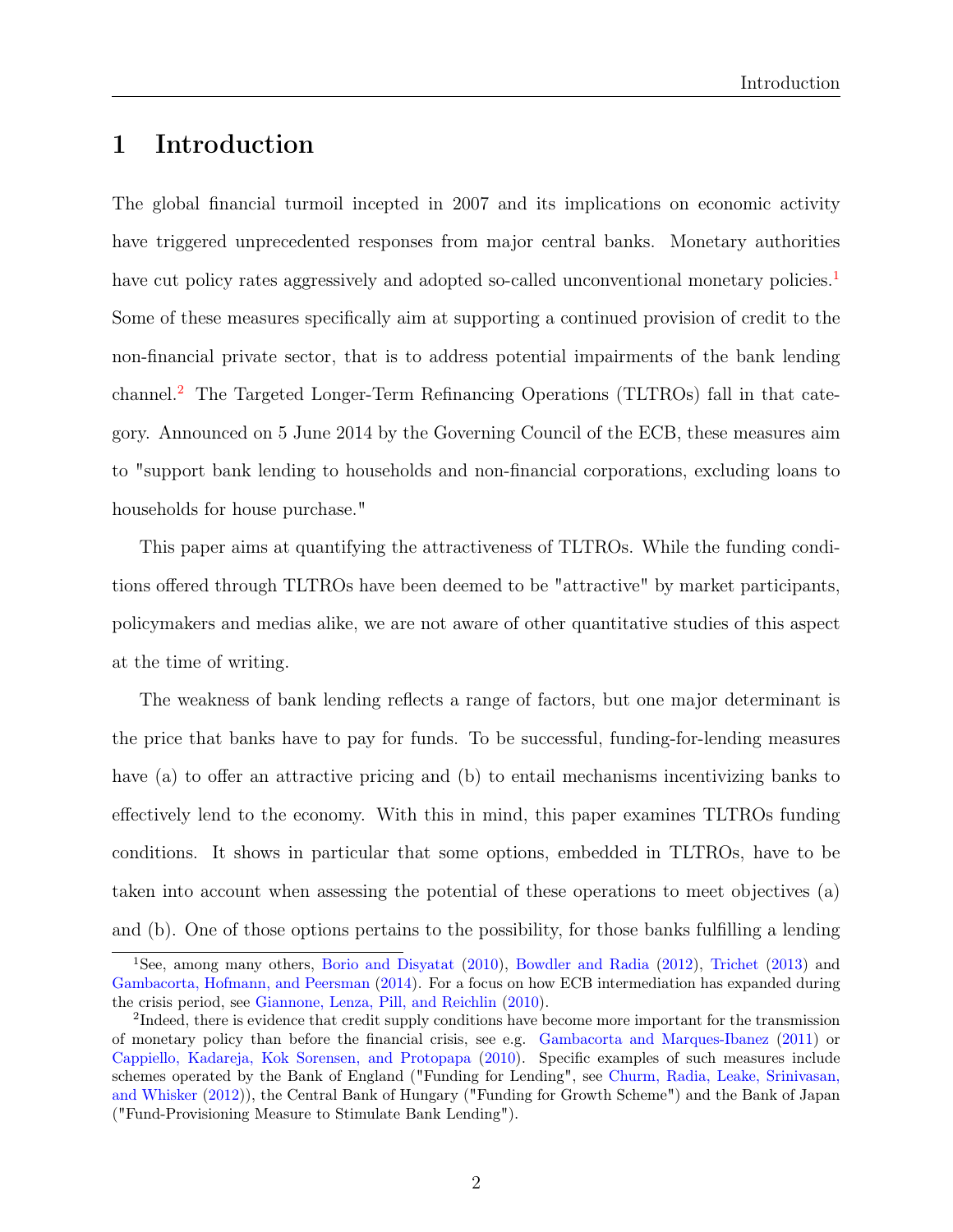## 1 Introduction

The global financial turmoil incepted in 2007 and its implications on economic activity have triggered unprecedented responses from major central banks. Monetary authorities have cut policy rates aggressively and adopted so-called unconventional monetary policies.<sup>[1](#page-2-0)</sup> Some of these measures specifically aim at supporting a continued provision of credit to the non-financial private sector, that is to address potential impairments of the bank lending channel.[2](#page-2-0) The Targeted Longer-Term Refinancing Operations (TLTROs) fall in that category. Announced on 5 June 2014 by the Governing Council of the ECB, these measures aim to "support bank lending to households and non-financial corporations, excluding loans to households for house purchase."

This paper aims at quantifying the attractiveness of TLTROs. While the funding conditions offered through TLTROs have been deemed to be "attractive" by market participants, policymakers and medias alike, we are not aware of other quantitative studies of this aspect at the time of writing.

The weakness of bank lending reflects a range of factors, but one major determinant is the price that banks have to pay for funds. To be successful, funding-for-lending measures have (a) to offer an attractive pricing and (b) to entail mechanisms incentivizing banks to effectively lend to the economy. With this in mind, this paper examines TLTROs funding conditions. It shows in particular that some options, embedded in TLTROs, have to be taken into account when assessing the potential of these operations to meet objectives (a) and (b). One of those options pertains to the possibility, for those banks fulfilling a lending

<sup>1</sup>See, among many others, [Borio and Disyatat](#page-24-0) [\(2010\)](#page-24-0), [Bowdler and Radia](#page-24-1) [\(2012\)](#page-24-1), [Trichet](#page-25-1) [\(2013\)](#page-25-1) and [Gambacorta, Hofmann, and Peersman](#page-24-2) [\(2014\)](#page-24-2). For a focus on how ECB intermediation has expanded during the crisis period, see [Giannone, Lenza, Pill, and Reichlin](#page-25-2) [\(2010\)](#page-25-2).

<sup>&</sup>lt;sup>2</sup>Indeed, there is evidence that credit supply conditions have become more important for the transmission of monetary policy than before the financial crisis, see e.g. [Gambacorta and Marques-Ibanez](#page-25-3) [\(2011\)](#page-25-3) or [Cappiello, Kadareja, Kok Sorensen, and Protopapa](#page-24-3) [\(2010\)](#page-24-3). Specific examples of such measures include schemes operated by the Bank of England ("Funding for Lending", see [Churm, Radia, Leake, Srinivasan,](#page-24-4) [and Whisker](#page-24-4) [\(2012\)](#page-24-4)), the Central Bank of Hungary ("Funding for Growth Scheme") and the Bank of Japan ("Fund-Provisioning Measure to Stimulate Bank Lending").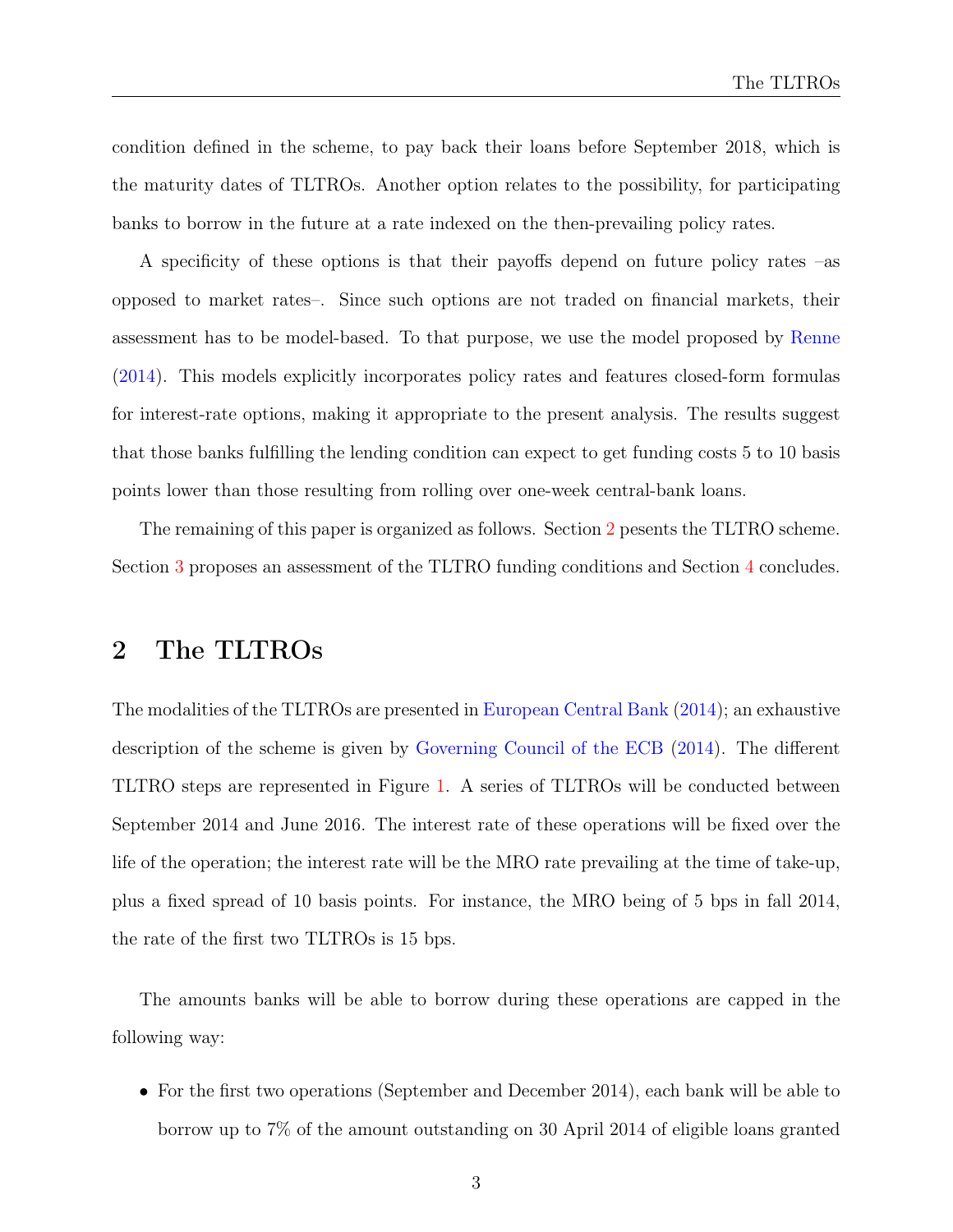condition defined in the scheme, to pay back their loans before September 2018, which is the maturity dates of TLTROs. Another option relates to the possibility, for participating banks to borrow in the future at a rate indexed on the then-prevailing policy rates.

A specificity of these options is that their payoffs depend on future policy rates –as opposed to market rates–. Since such options are not traded on financial markets, their assessment has to be model-based. To that purpose, we use the model proposed by [Renne](#page-25-0) [\(2014\)](#page-25-0). This models explicitly incorporates policy rates and features closed-form formulas for interest-rate options, making it appropriate to the present analysis. The results suggest that those banks fulfilling the lending condition can expect to get funding costs 5 to 10 basis points lower than those resulting from rolling over one-week central-bank loans.

The remaining of this paper is organized as follows. Section [2](#page-6-0) pesents the TLTRO scheme. Section [3](#page-8-0) proposes an assessment of the TLTRO funding conditions and Section [4](#page-18-0) concludes.

## <span id="page-6-0"></span>2 The TLTROs

The modalities of the TLTROs are presented in [European Central Bank](#page-24-5) [\(2014\)](#page-24-5); an exhaustive description of the scheme is given by [Governing Council of the ECB](#page-25-4) [\(2014\)](#page-25-4). The different TLTRO steps are represented in Figure [1.](#page-7-0) A series of TLTROs will be conducted between September 2014 and June 2016. The interest rate of these operations will be fixed over the life of the operation; the interest rate will be the MRO rate prevailing at the time of take-up, plus a fixed spread of 10 basis points. For instance, the MRO being of 5 bps in fall 2014, the rate of the first two TLTROs is 15 bps.

The amounts banks will be able to borrow during these operations are capped in the following way:

• For the first two operations (September and December 2014), each bank will be able to borrow up to 7% of the amount outstanding on 30 April 2014 of eligible loans granted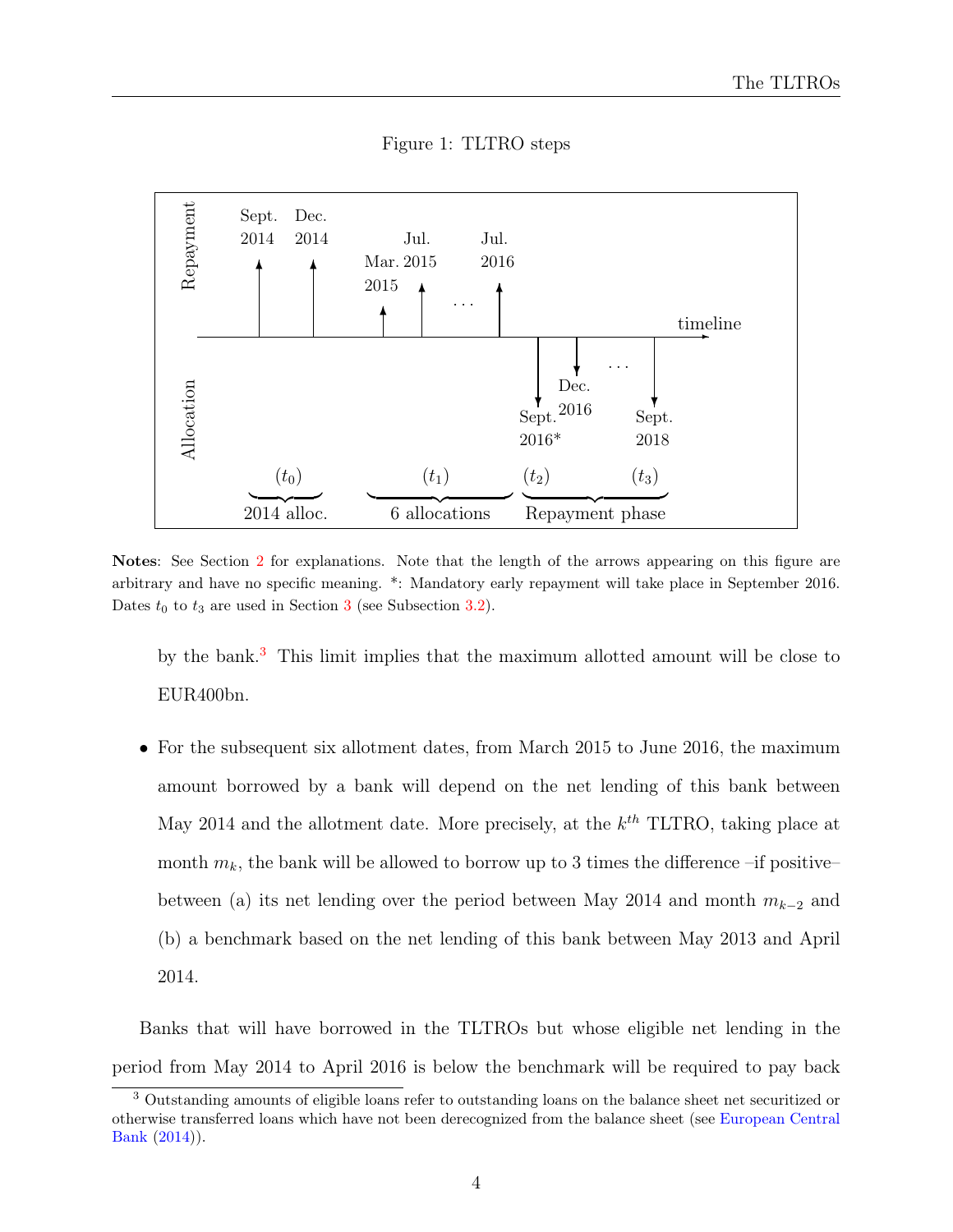Figure 1: TLTRO steps

<span id="page-7-0"></span>

Notes: See Section [2](#page-6-0) for explanations. Note that the length of the arrows appearing on this figure are arbitrary and have no specific meaning. \*: Mandatory early repayment will take place in September 2016. Dates  $t_0$  to  $t_3$  $t_3$  are used in Section 3 (see Subsection [3.2\)](#page-10-0).

by the bank.[3](#page-2-0) This limit implies that the maximum allotted amount will be close to EUR400bn.

• For the subsequent six allotment dates, from March 2015 to June 2016, the maximum amount borrowed by a bank will depend on the net lending of this bank between May 2014 and the allotment date. More precisely, at the  $k^{th}$  TLTRO, taking place at month  $m_k$ , the bank will be allowed to borrow up to 3 times the difference –if positive– between (a) its net lending over the period between May 2014 and month  $m_{k-2}$  and (b) a benchmark based on the net lending of this bank between May 2013 and April 2014.

Banks that will have borrowed in the TLTROs but whose eligible net lending in the period from May 2014 to April 2016 is below the benchmark will be required to pay back

<sup>3</sup> Outstanding amounts of eligible loans refer to outstanding loans on the balance sheet net securitized or otherwise transferred loans which have not been derecognized from the balance sheet (see [European Central](#page-24-5) [Bank](#page-24-5) [\(2014\)](#page-24-5)).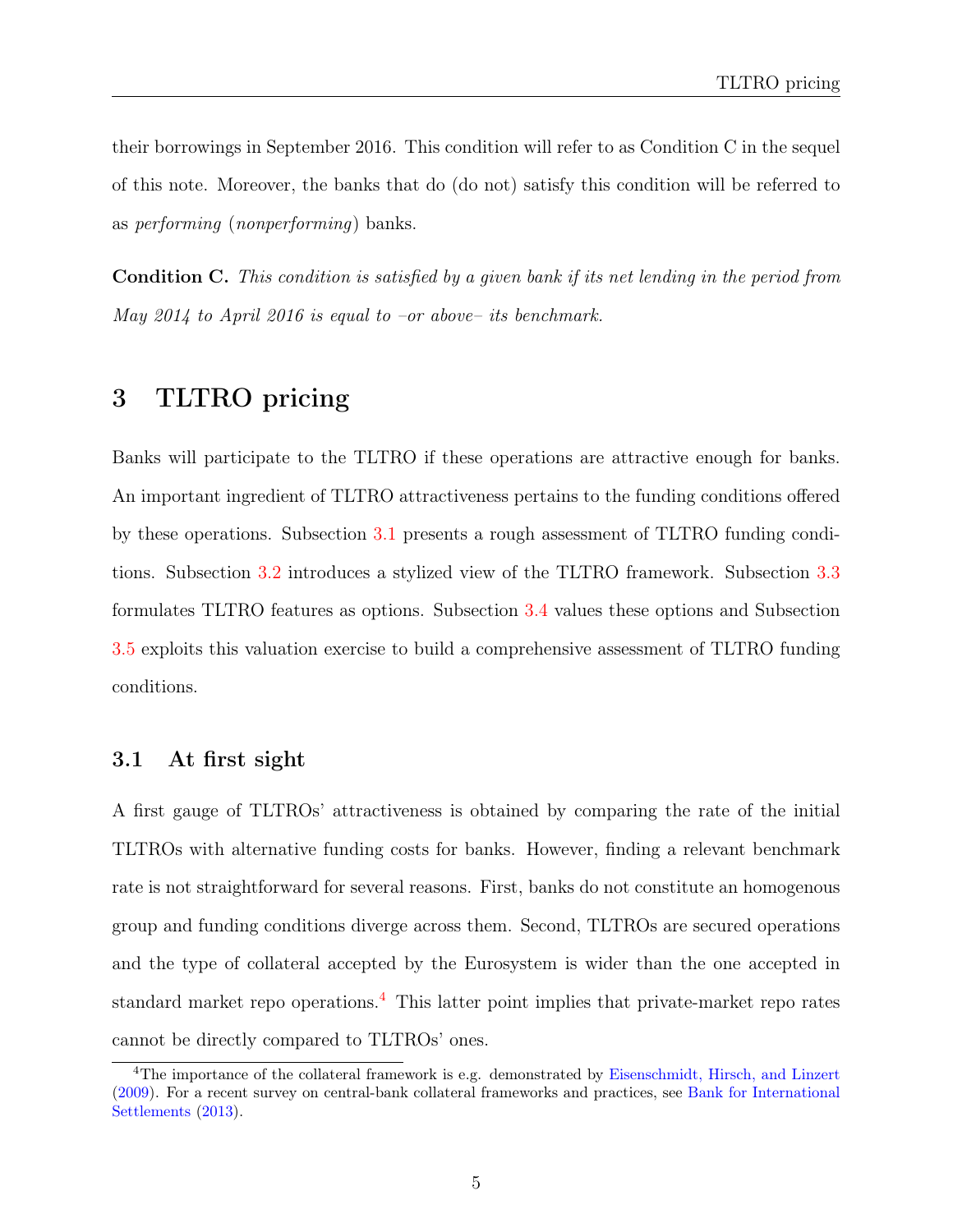their borrowings in September 2016. This condition will refer to as Condition C in the sequel of this note. Moreover, the banks that do (do not) satisfy this condition will be referred to as performing (nonperforming) banks.

Condition C. This condition is satisfied by a given bank if its net lending in the period from May 2014 to April 2016 is equal to  $-or$  above– its benchmark.

## <span id="page-8-0"></span>3 TLTRO pricing

Banks will participate to the TLTRO if these operations are attractive enough for banks. An important ingredient of TLTRO attractiveness pertains to the funding conditions offered by these operations. Subsection [3.1](#page-8-1) presents a rough assessment of TLTRO funding conditions. Subsection [3.2](#page-10-0) introduces a stylized view of the TLTRO framework. Subsection [3.3](#page-11-0) formulates TLTRO features as options. Subsection [3.4](#page-13-0) values these options and Subsection [3.5](#page-16-0) exploits this valuation exercise to build a comprehensive assessment of TLTRO funding conditions.

#### <span id="page-8-1"></span>3.1 At first sight

A first gauge of TLTROs' attractiveness is obtained by comparing the rate of the initial TLTROs with alternative funding costs for banks. However, finding a relevant benchmark rate is not straightforward for several reasons. First, banks do not constitute an homogenous group and funding conditions diverge across them. Second, TLTROs are secured operations and the type of collateral accepted by the Eurosystem is wider than the one accepted in standard market repo operations.<sup>[4](#page-2-0)</sup> This latter point implies that private-market repo rates cannot be directly compared to TLTROs' ones.

<sup>&</sup>lt;sup>4</sup>The importance of the collateral framework is e.g. demonstrated by [Eisenschmidt, Hirsch, and Linzert](#page-24-6) [\(2009\)](#page-24-6). For a recent survey on central-bank collateral frameworks and practices, see [Bank for International](#page-24-7) [Settlements](#page-24-7) [\(2013\)](#page-24-7).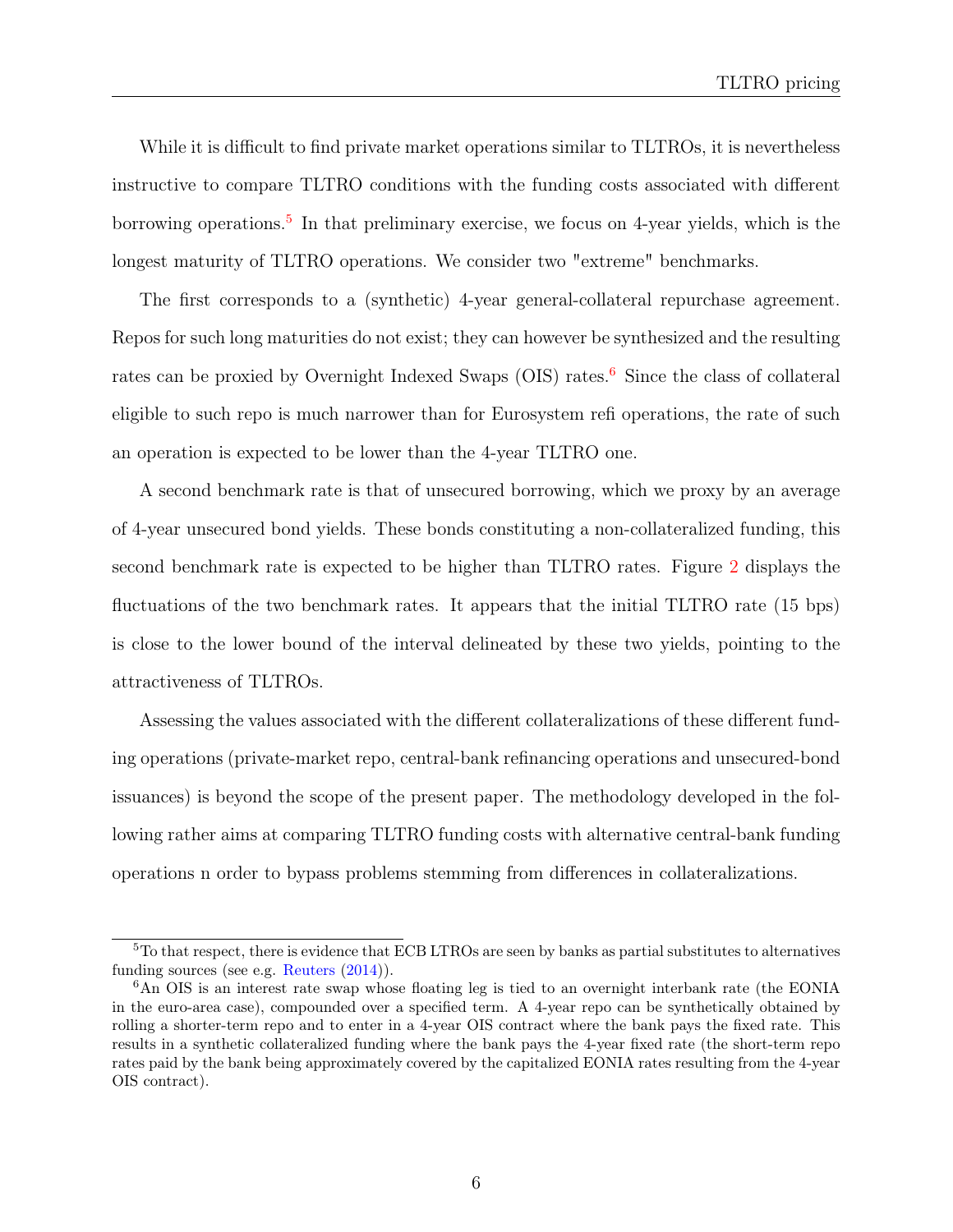While it is difficult to find private market operations similar to TLTROs, it is nevertheless instructive to compare TLTRO conditions with the funding costs associated with different borrowing operations.<sup>[5](#page-2-0)</sup> In that preliminary exercise, we focus on 4-year yields, which is the longest maturity of TLTRO operations. We consider two "extreme" benchmarks.

The first corresponds to a (synthetic) 4-year general-collateral repurchase agreement. Repos for such long maturities do not exist; they can however be synthesized and the resulting rates can be proxied by Overnight Indexed Swaps  $(OIS)$  rates.<sup>[6](#page-2-0)</sup> Since the class of collateral eligible to such repo is much narrower than for Eurosystem refi operations, the rate of such an operation is expected to be lower than the 4-year TLTRO one.

A second benchmark rate is that of unsecured borrowing, which we proxy by an average of 4-year unsecured bond yields. These bonds constituting a non-collateralized funding, this second benchmark rate is expected to be higher than TLTRO rates. Figure [2](#page-10-1) displays the fluctuations of the two benchmark rates. It appears that the initial TLTRO rate (15 bps) is close to the lower bound of the interval delineated by these two yields, pointing to the attractiveness of TLTROs.

Assessing the values associated with the different collateralizations of these different funding operations (private-market repo, central-bank refinancing operations and unsecured-bond issuances) is beyond the scope of the present paper. The methodology developed in the following rather aims at comparing TLTRO funding costs with alternative central-bank funding operations n order to bypass problems stemming from differences in collateralizations.

<sup>5</sup>To that respect, there is evidence that ECB LTROs are seen by banks as partial substitutes to alternatives funding sources (see e.g. [Reuters](#page-25-5) [\(2014\)](#page-25-5)).

<sup>6</sup>An OIS is an interest rate swap whose floating leg is tied to an overnight interbank rate (the EONIA in the euro-area case), compounded over a specified term. A 4-year repo can be synthetically obtained by rolling a shorter-term repo and to enter in a 4-year OIS contract where the bank pays the fixed rate. This results in a synthetic collateralized funding where the bank pays the 4-year fixed rate (the short-term repo rates paid by the bank being approximately covered by the capitalized EONIA rates resulting from the 4-year OIS contract).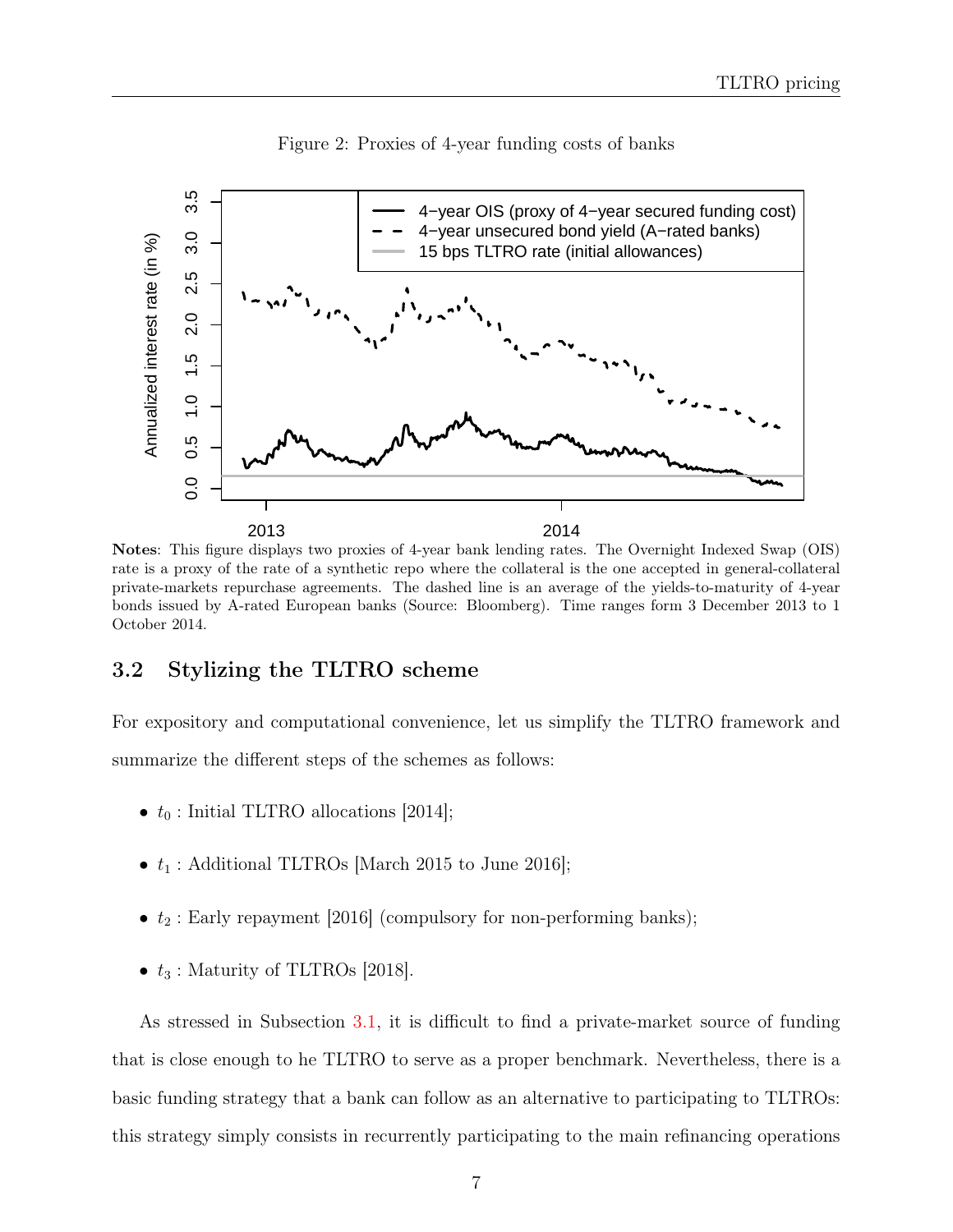<span id="page-10-1"></span>

Figure 2: Proxies of 4-year funding costs of banks

2013 2014 Notes: This figure displays two proxies of 4-year bank lending rates. The Overnight Indexed Swap (OIS) rate is a proxy of the rate of a synthetic repo where the collateral is the one accepted in general-collateral private-markets repurchase agreements. The dashed line is an average of the yields-to-maturity of 4-year bonds issued by A-rated European banks (Source: Bloomberg). Time ranges form 3 December 2013 to 1

#### <span id="page-10-0"></span>3.2 Stylizing the TLTRO scheme

October 2014.

For expository and computational convenience, let us simplify the TLTRO framework and summarize the different steps of the schemes as follows:

- $t_0$ : Initial TLTRO allocations [2014];
- $t_1$ : Additional TLTROs [March 2015 to June 2016];
- $t_2$ : Early repayment [2016] (compulsory for non-performing banks);
- $t_3$ : Maturity of TLTROs [2018].

As stressed in Subsection [3.1,](#page-8-1) it is difficult to find a private-market source of funding that is close enough to he TLTRO to serve as a proper benchmark. Nevertheless, there is a basic funding strategy that a bank can follow as an alternative to participating to TLTROs: this strategy simply consists in recurrently participating to the main refinancing operations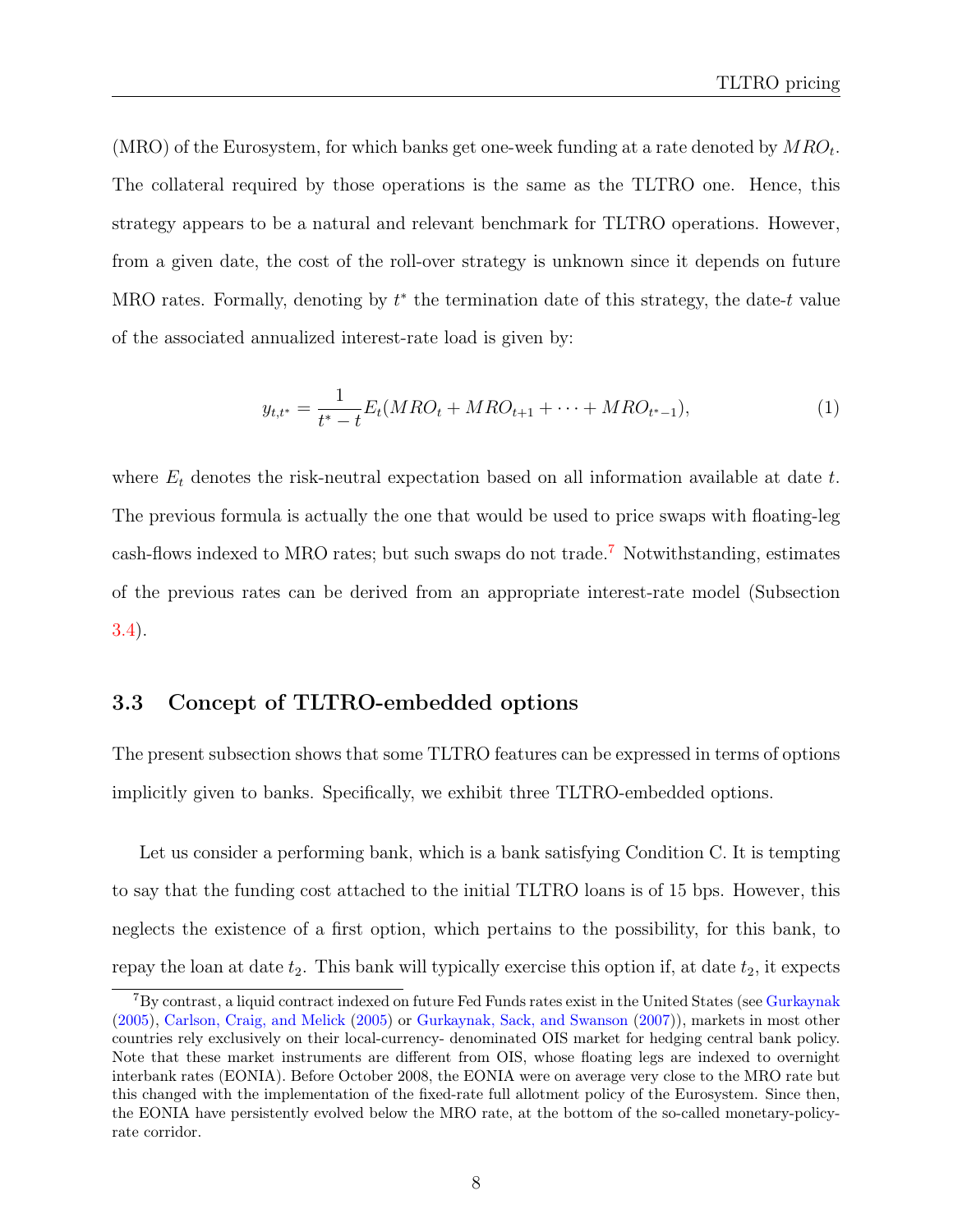(MRO) of the Eurosystem, for which banks get one-week funding at a rate denoted by  $MRO_t$ . The collateral required by those operations is the same as the TLTRO one. Hence, this strategy appears to be a natural and relevant benchmark for TLTRO operations. However, from a given date, the cost of the roll-over strategy is unknown since it depends on future MRO rates. Formally, denoting by  $t^*$  the termination date of this strategy, the date- $t$  value of the associated annualized interest-rate load is given by:

<span id="page-11-1"></span>
$$
y_{t,t^*} = \frac{1}{t^* - t} E_t(MRO_t + MRO_{t+1} + \dots + MRO_{t^*-1}),\tag{1}
$$

where  $E_t$  denotes the risk-neutral expectation based on all information available at date t. The previous formula is actually the one that would be used to price swaps with floating-leg cash-flows indexed to MRO rates; but such swaps do not trade.[7](#page-2-0) Notwithstanding, estimates of the previous rates can be derived from an appropriate interest-rate model (Subsection [3.4\)](#page-13-0).

#### <span id="page-11-0"></span>3.3 Concept of TLTRO-embedded options

The present subsection shows that some TLTRO features can be expressed in terms of options implicitly given to banks. Specifically, we exhibit three TLTRO-embedded options.

Let us consider a performing bank, which is a bank satisfying Condition C. It is tempting to say that the funding cost attached to the initial TLTRO loans is of 15 bps. However, this neglects the existence of a first option, which pertains to the possibility, for this bank, to repay the loan at date  $t_2$ . This bank will typically exercise this option if, at date  $t_2$ , it expects

<sup>7</sup>By contrast, a liquid contract indexed on future Fed Funds rates exist in the United States (see [Gurkaynak](#page-25-6) [\(2005\)](#page-25-6), [Carlson, Craig, and Melick](#page-24-8) [\(2005\)](#page-24-8) or [Gurkaynak, Sack, and Swanson](#page-25-7) [\(2007\)](#page-25-7)), markets in most other countries rely exclusively on their local-currency- denominated OIS market for hedging central bank policy. Note that these market instruments are different from OIS, whose floating legs are indexed to overnight interbank rates (EONIA). Before October 2008, the EONIA were on average very close to the MRO rate but this changed with the implementation of the fixed-rate full allotment policy of the Eurosystem. Since then, the EONIA have persistently evolved below the MRO rate, at the bottom of the so-called monetary-policyrate corridor.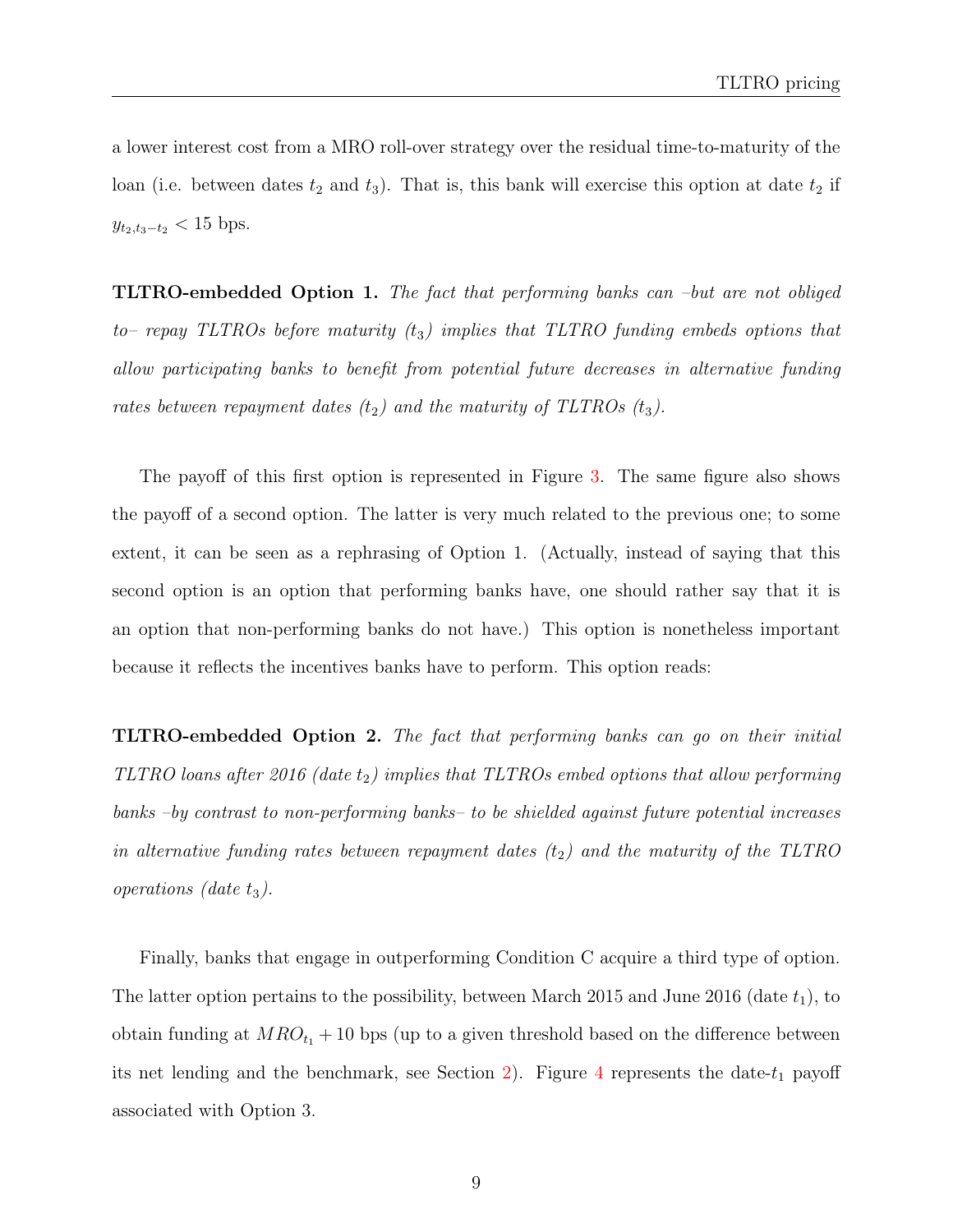a lower interest cost from a MRO roll-over strategy over the residual time-to-maturity of the loan (i.e. between dates  $t_2$  and  $t_3$ ). That is, this bank will exercise this option at date  $t_2$  if  $y_{t_2,t_3-t_2}$  < 15 bps.

TLTRO-embedded Option 1. The fact that performing banks can –but are not obliged to– repay TLTROs before maturity  $(t_3)$  implies that TLTRO funding embeds options that allow participating banks to benefit from potential future decreases in alternative funding rates between repayment dates  $(t_2)$  and the maturity of TLTROs  $(t_3)$ .

The payoff of this first option is represented in Figure [3.](#page-13-1) The same figure also shows the payoff of a second option. The latter is very much related to the previous one; to some extent, it can be seen as a rephrasing of Option 1. (Actually, instead of saying that this second option is an option that performing banks have, one should rather say that it is an option that non-performing banks do not have.) This option is nonetheless important because it reflects the incentives banks have to perform. This option reads:

TLTRO-embedded Option 2. The fact that performing banks can go on their initial TLTRO loans after 2016 (date  $t_2$ ) implies that TLTROs embed options that allow performing banks –by contrast to non-performing banks– to be shielded against future potential increases in alternative funding rates between repayment dates  $(t_2)$  and the maturity of the TLTRO operations (date  $t_3$ ).

Finally, banks that engage in outperforming Condition C acquire a third type of option. The latter option pertains to the possibility, between March 2015 and June 2016 (date  $t_1$ ), to obtain funding at  $MRO_{t_1} + 10$  bps (up to a given threshold based on the difference between its net lending and the benchmark, see Section [2\)](#page-6-0). Figure [4](#page-14-0) represents the date- $t_1$  payoff associated with Option 3.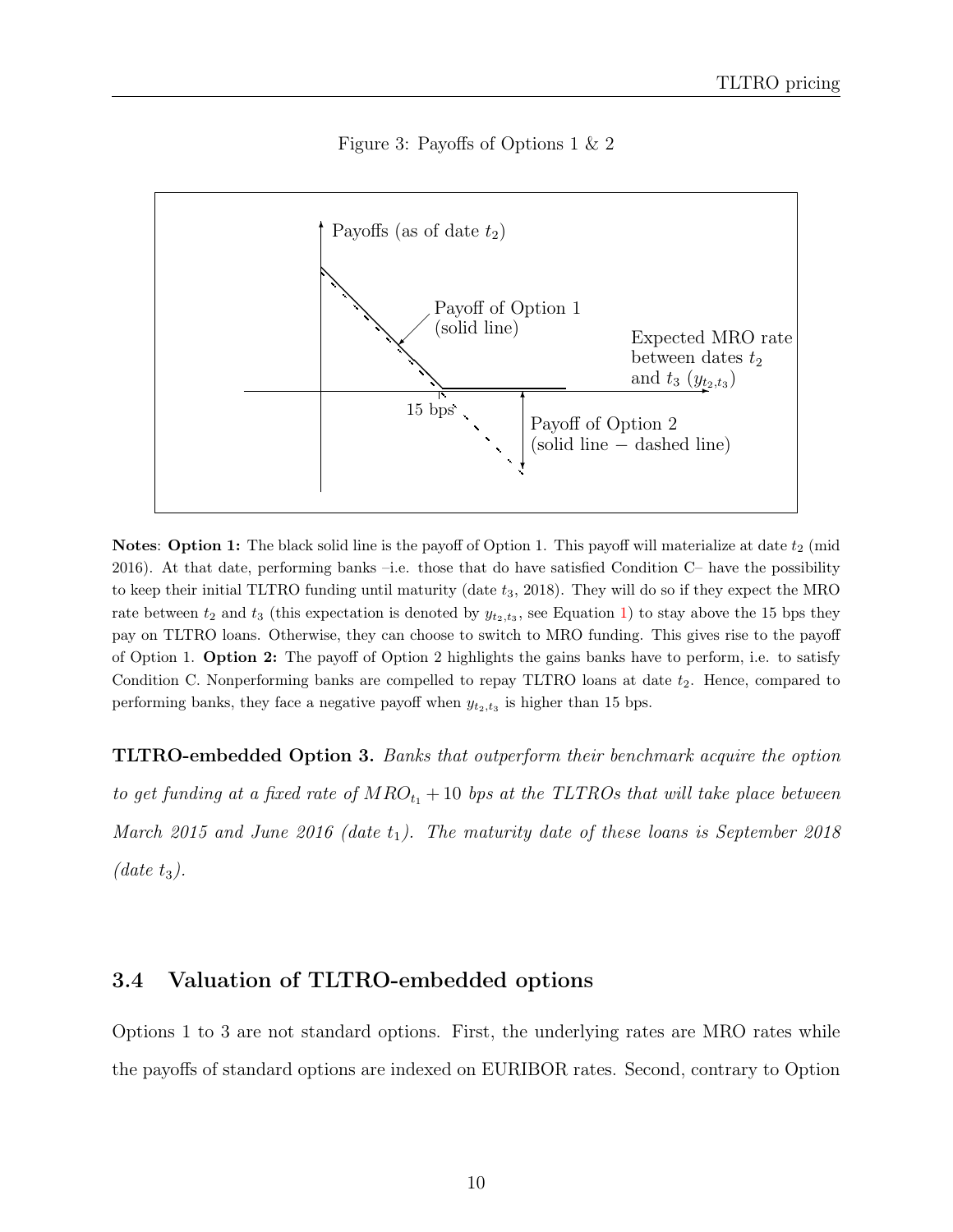#### Figure 3: Payoffs of Options 1 & 2

<span id="page-13-1"></span>

**Notes:** Option 1: The black solid line is the payoff of Option 1. This payoff will materialize at date  $t_2$  (mid 2016). At that date, performing banks –i.e. those that do have satisfied Condition C– have the possibility to keep their initial TLTRO funding until maturity (date  $t_3$ , 2018). They will do so if they expect the MRO rate between  $t_2$  and  $t_3$  (this expectation is denoted by  $y_{t_2,t_3}$ , see Equation [1\)](#page-11-1) to stay above the 15 bps they pay on TLTRO loans. Otherwise, they can choose to switch to MRO funding. This gives rise to the payoff of Option 1. Option 2: The payoff of Option 2 highlights the gains banks have to perform, i.e. to satisfy Condition C. Nonperforming banks are compelled to repay TLTRO loans at date  $t_2$ . Hence, compared to performing banks, they face a negative payoff when  $y_{t_2,t_3}$  is higher than 15 bps.

TLTRO-embedded Option 3. Banks that outperform their benchmark acquire the option to get funding at a fixed rate of  $MRO_{t_1} + 10$  bps at the TLTROs that will take place between March 2015 and June 2016 (date  $t_1$ ). The maturity date of these loans is September 2018 (date  $t_3$ ).

#### <span id="page-13-0"></span>3.4 Valuation of TLTRO-embedded options

Options 1 to 3 are not standard options. First, the underlying rates are MRO rates while the payoffs of standard options are indexed on EURIBOR rates. Second, contrary to Option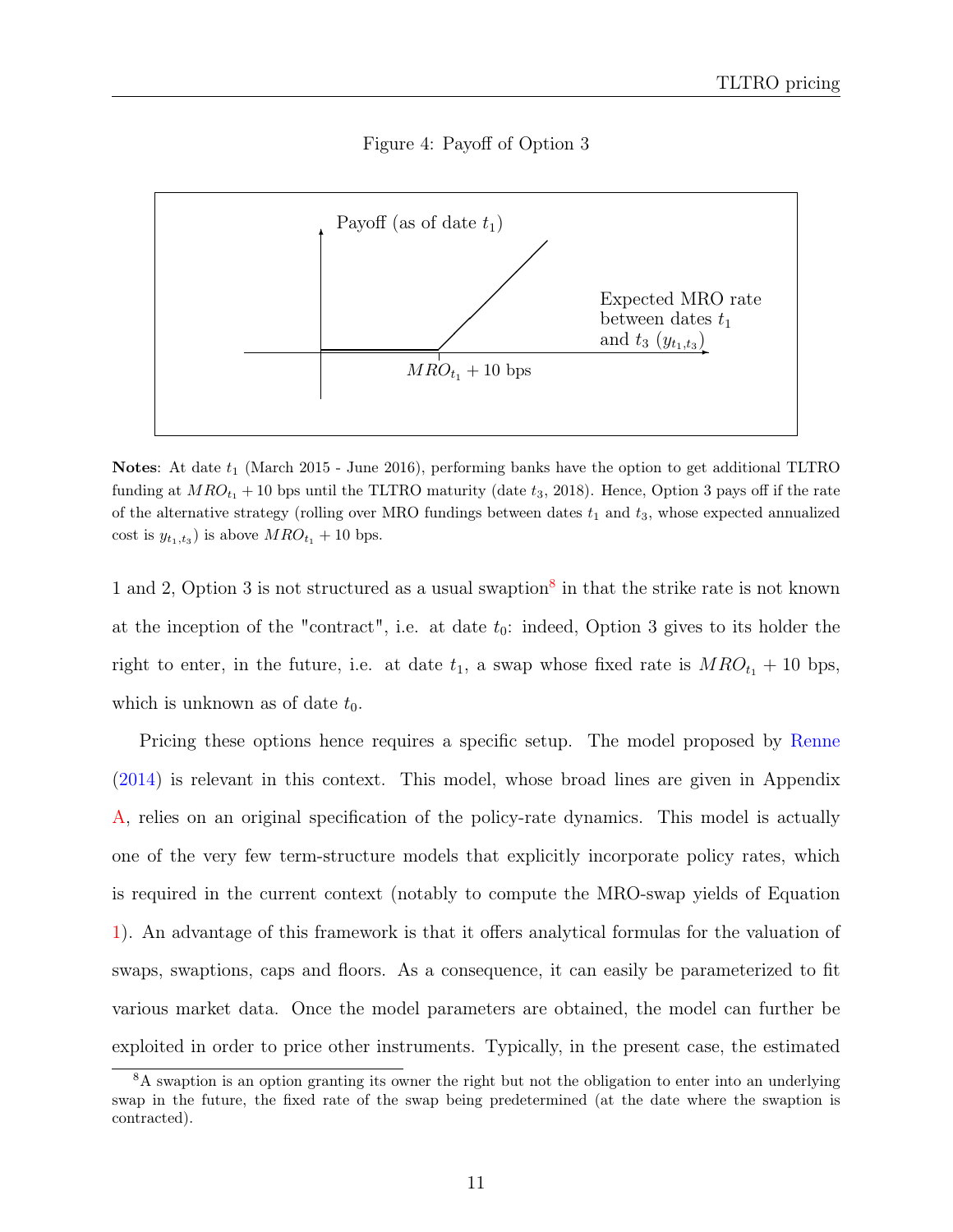

<span id="page-14-0"></span>

**Notes:** At date  $t_1$  (March 2015 - June 2016), performing banks have the option to get additional TLTRO funding at  $MRO_{t_1}$  + 10 bps until the TLTRO maturity (date  $t_3$ , 2018). Hence, Option 3 pays off if the rate of the alternative strategy (rolling over MRO fundings between dates  $t_1$  and  $t_3$ , whose expected annualized cost is  $y_{t_1,t_3}$ ) is above  $MRO_{t_1}$  + 10 bps.

1 and 2, Option 3 is not structured as a usual swaption<sup>[8](#page-2-0)</sup> in that the strike rate is not known at the inception of the "contract", i.e. at date  $t_0$ : indeed, Option 3 gives to its holder the right to enter, in the future, i.e. at date  $t_1$ , a swap whose fixed rate is  $MRO_{t_1} + 10$  bps, which is unknown as of date  $t_0$ .

Pricing these options hence requires a specific setup. The model proposed by [Renne](#page-25-0) [\(2014\)](#page-25-0) is relevant in this context. This model, whose broad lines are given in Appendix [A,](#page-21-0) relies on an original specification of the policy-rate dynamics. This model is actually one of the very few term-structure models that explicitly incorporate policy rates, which is required in the current context (notably to compute the MRO-swap yields of Equation [1\)](#page-11-1). An advantage of this framework is that it offers analytical formulas for the valuation of swaps, swaptions, caps and floors. As a consequence, it can easily be parameterized to fit various market data. Once the model parameters are obtained, the model can further be exploited in order to price other instruments. Typically, in the present case, the estimated

<sup>8</sup>A swaption is an option granting its owner the right but not the obligation to enter into an underlying swap in the future, the fixed rate of the swap being predetermined (at the date where the swaption is contracted).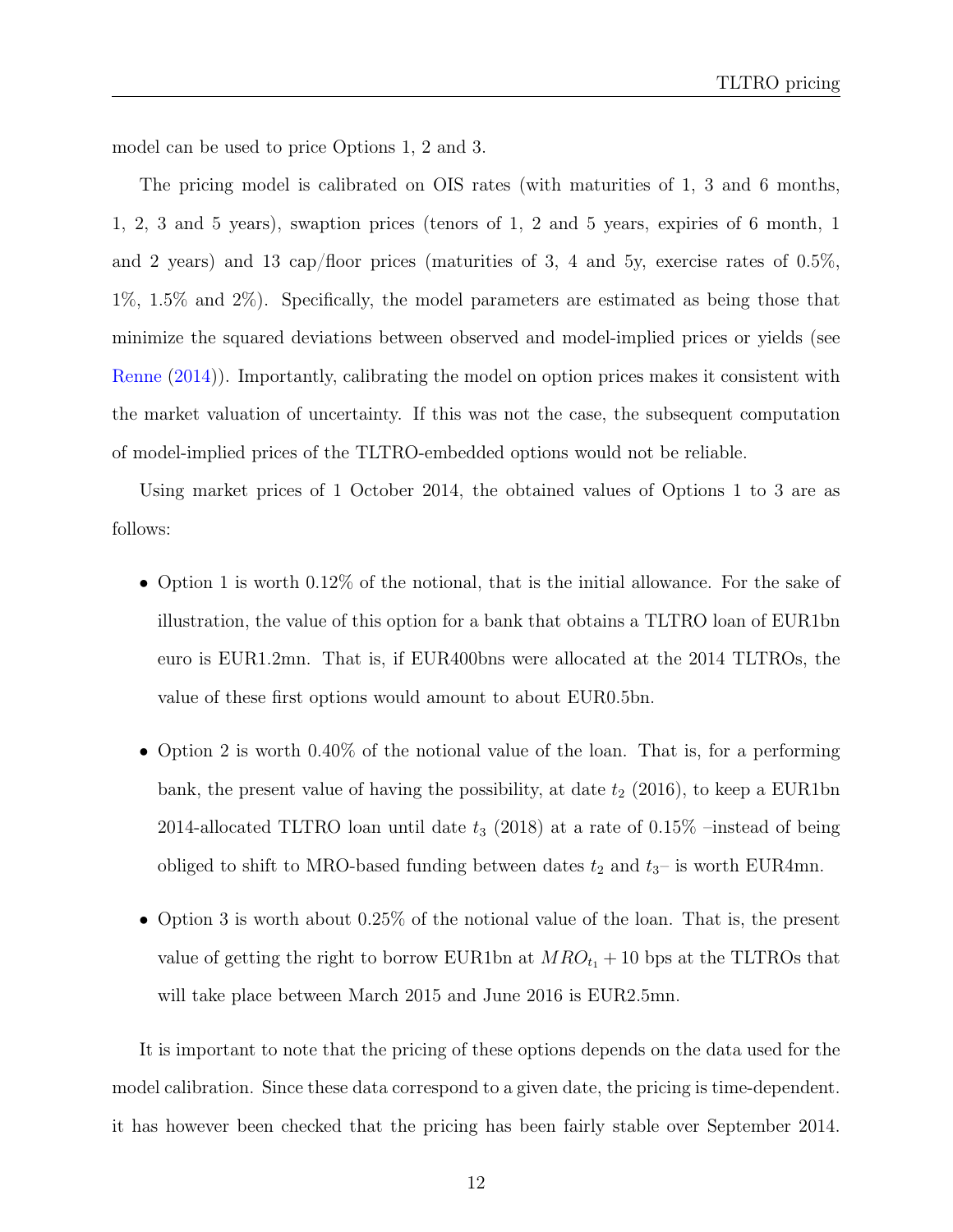model can be used to price Options 1, 2 and 3.

The pricing model is calibrated on OIS rates (with maturities of 1, 3 and 6 months, 1, 2, 3 and 5 years), swaption prices (tenors of 1, 2 and 5 years, expiries of 6 month, 1 and 2 years) and 13 cap/floor prices (maturities of 3, 4 and 5y, exercise rates of  $0.5\%$ , 1%, 1.5% and 2%). Specifically, the model parameters are estimated as being those that minimize the squared deviations between observed and model-implied prices or yields (see [Renne](#page-25-0) [\(2014\)](#page-25-0)). Importantly, calibrating the model on option prices makes it consistent with the market valuation of uncertainty. If this was not the case, the subsequent computation of model-implied prices of the TLTRO-embedded options would not be reliable.

Using market prices of 1 October 2014, the obtained values of Options 1 to 3 are as follows:

- Option 1 is worth 0.12\% of the notional, that is the initial allowance. For the sake of illustration, the value of this option for a bank that obtains a TLTRO loan of EUR1bn euro is EUR1.2mn. That is, if EUR400bns were allocated at the 2014 TLTROs, the value of these first options would amount to about EUR0.5bn.
- Option 2 is worth 0.40% of the notional value of the loan. That is, for a performing bank, the present value of having the possibility, at date  $t_2$  (2016), to keep a EUR1bn 2014-allocated TLTRO loan until date  $t_3$  (2018) at a rate of 0.15% –instead of being obliged to shift to MRO-based funding between dates  $t_2$  and  $t_3$ – is worth EUR4mn.
- Option 3 is worth about 0.25% of the notional value of the loan. That is, the present value of getting the right to borrow EUR1bn at  $MRO_{t_1} + 10$  bps at the TLTROs that will take place between March 2015 and June 2016 is EUR2.5mn.

It is important to note that the pricing of these options depends on the data used for the model calibration. Since these data correspond to a given date, the pricing is time-dependent. it has however been checked that the pricing has been fairly stable over September 2014.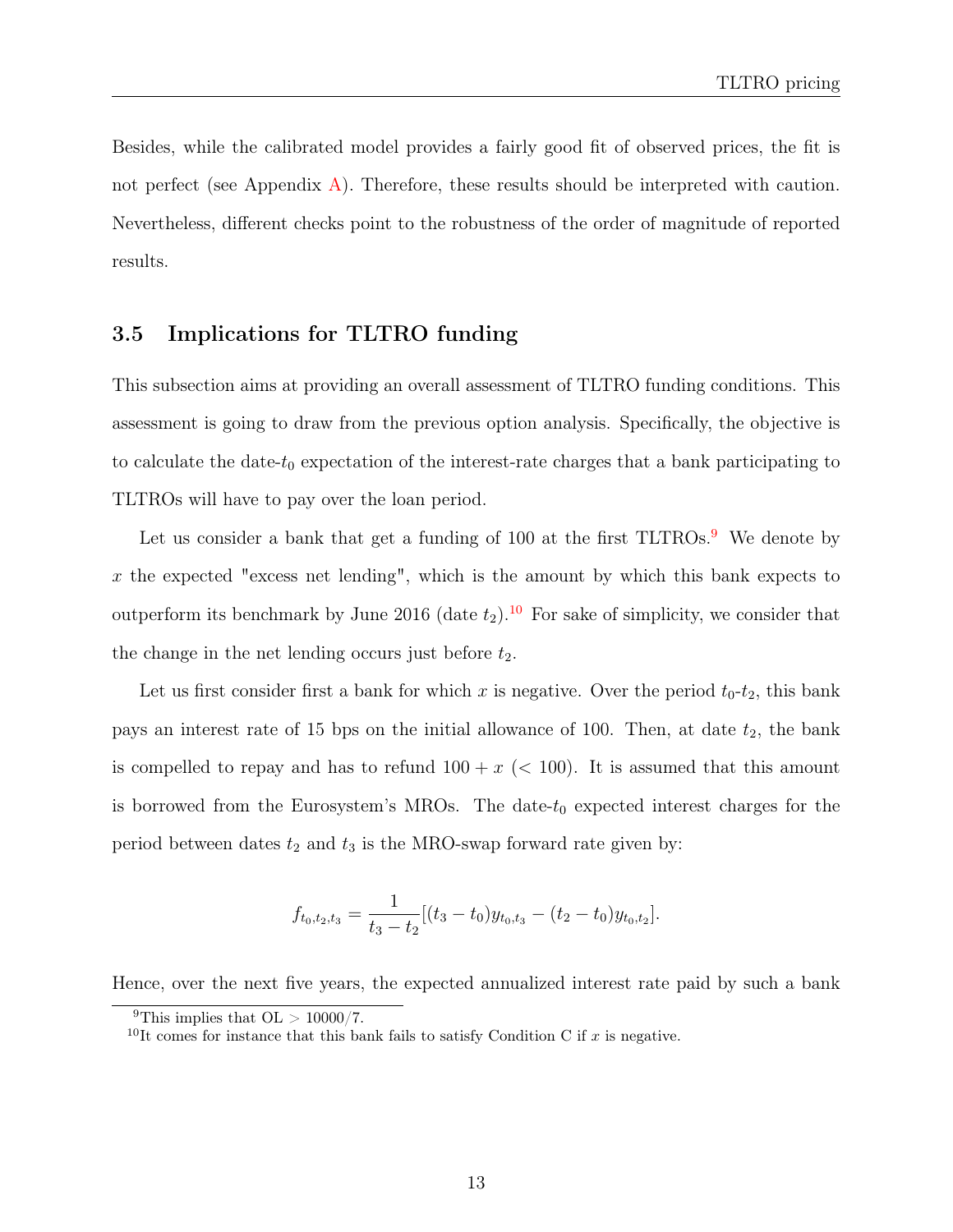Besides, while the calibrated model provides a fairly good fit of observed prices, the fit is not perfect (see Appendix  $\bf{A}$ ). Therefore, these results should be interpreted with caution. Nevertheless, different checks point to the robustness of the order of magnitude of reported results.

#### <span id="page-16-0"></span>3.5 Implications for TLTRO funding

This subsection aims at providing an overall assessment of TLTRO funding conditions. This assessment is going to draw from the previous option analysis. Specifically, the objective is to calculate the date- $t_0$  expectation of the interest-rate charges that a bank participating to TLTROs will have to pay over the loan period.

Let us consider a bank that get a funding of 100 at the first  $TLTROs.9$  $TLTROs.9$  We denote by  $x$  the expected "excess net lending", which is the amount by which this bank expects to outperform its benchmark by June 2016 (date  $t_2$ ).<sup>[10](#page-2-0)</sup> For sake of simplicity, we consider that the change in the net lending occurs just before  $t_2$ .

Let us first consider first a bank for which x is negative. Over the period  $t_0-t_2$ , this bank pays an interest rate of 15 bps on the initial allowance of 100. Then, at date  $t_2$ , the bank is compelled to repay and has to refund  $100 + x$  ( $< 100$ ). It is assumed that this amount is borrowed from the Eurosystem's MROs. The date- $t_0$  expected interest charges for the period between dates  $t_2$  and  $t_3$  is the MRO-swap forward rate given by:

$$
f_{t_0,t_2,t_3} = \frac{1}{t_3 - t_2} [(t_3 - t_0) y_{t_0,t_3} - (t_2 - t_0) y_{t_0,t_2}].
$$

Hence, over the next five years, the expected annualized interest rate paid by such a bank

<sup>&</sup>lt;sup>9</sup>This implies that  $OL > 10000/7$ .

<sup>&</sup>lt;sup>10</sup>It comes for instance that this bank fails to satisfy Condition C if  $x$  is negative.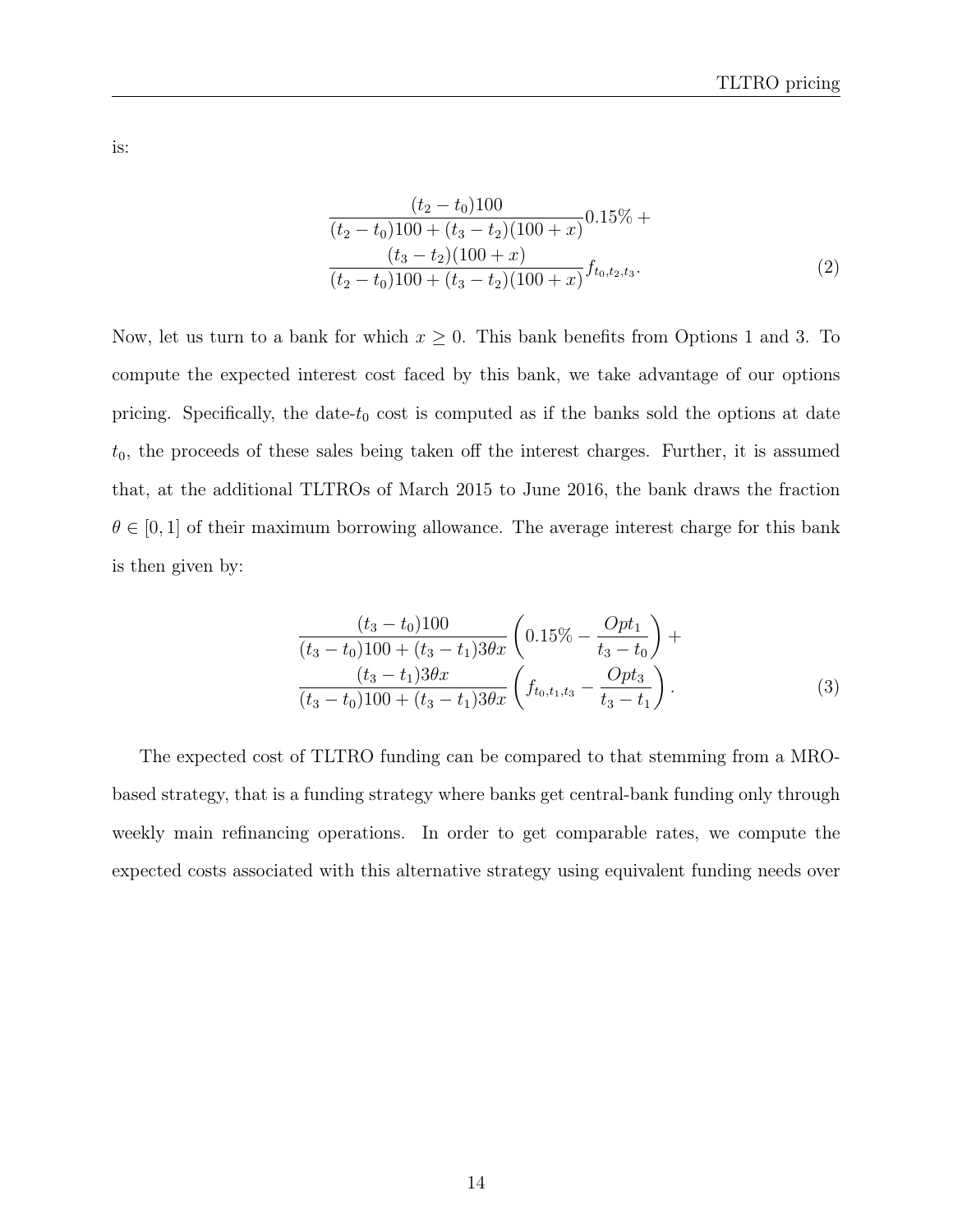is:

<span id="page-17-1"></span>
$$
\frac{(t_2 - t_0)100}{(t_2 - t_0)100 + (t_3 - t_2)(100 + x)} 0.15\% +
$$
  
\n
$$
\frac{(t_3 - t_2)(100 + x)}{(t_2 - t_0)100 + (t_3 - t_2)(100 + x)} f_{t_0, t_2, t_3}.
$$
\n(2)

Now, let us turn to a bank for which  $x \geq 0$ . This bank benefits from Options 1 and 3. To compute the expected interest cost faced by this bank, we take advantage of our options pricing. Specifically, the date- $t_0$  cost is computed as if the banks sold the options at date  $t_0$ , the proceeds of these sales being taken off the interest charges. Further, it is assumed that, at the additional TLTROs of March 2015 to June 2016, the bank draws the fraction  $\theta \in [0, 1]$  of their maximum borrowing allowance. The average interest charge for this bank is then given by:

<span id="page-17-0"></span>
$$
\frac{(t_3 - t_0)100}{(t_3 - t_0)100 + (t_3 - t_1)3\theta x} \left(0.15\% - \frac{Opt_1}{t_3 - t_0}\right) + \frac{(t_3 - t_1)3\theta x}{(t_3 - t_0)100 + (t_3 - t_1)3\theta x} \left(f_{t_0, t_1, t_3} - \frac{Opt_3}{t_3 - t_1}\right).
$$
\n(3)

The expected cost of TLTRO funding can be compared to that stemming from a MRObased strategy, that is a funding strategy where banks get central-bank funding only through weekly main refinancing operations. In order to get comparable rates, we compute the expected costs associated with this alternative strategy using equivalent funding needs over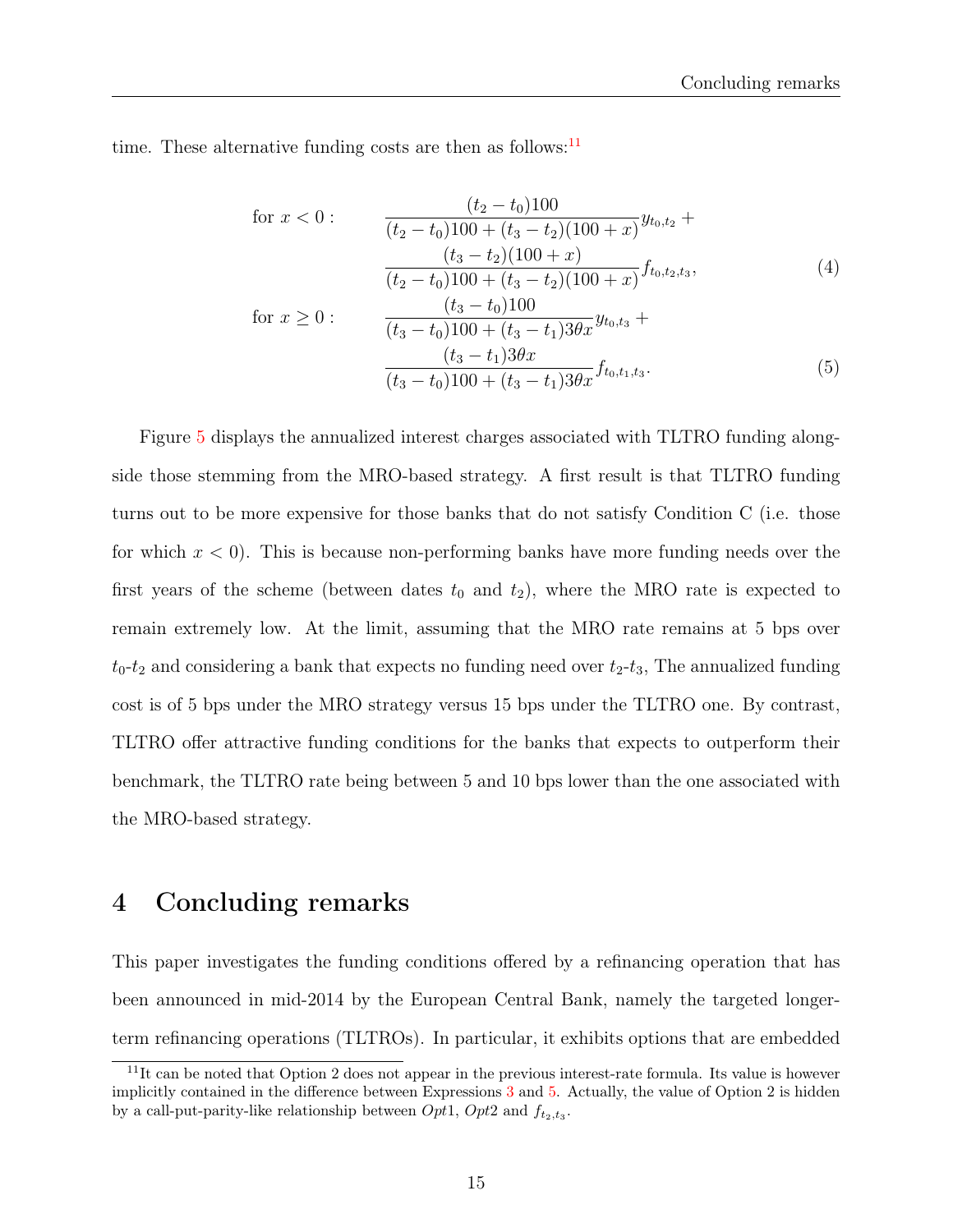time. These alternative funding costs are then as follows: $^{11}$  $^{11}$  $^{11}$ 

<span id="page-18-1"></span>
$$
\text{for } x < 0: \qquad \frac{(t_2 - t_0)100}{(t_2 - t_0)100 + (t_3 - t_2)(100 + x)} y_{t_0, t_2} + \frac{(t_3 - t_2)(100 + x)}{(t_3 - t_2)(100 + x)} f_{t_0, t_2, t_3},
$$
\n
$$
\text{for } x \ge 0: \qquad \frac{(t_3 - t_0)100}{(t_3 - t_0)100 + (t_3 - t_1)3\theta x} y_{t_0, t_3} + \frac{(t_3 - t_1)3\theta x}{(t_3 - t_0)100 + (t_3 - t_1)3\theta x} f_{t_0, t_1, t_3}.
$$
\n
$$
(5)
$$

Figure [5](#page-19-0) displays the annualized interest charges associated with TLTRO funding alongside those stemming from the MRO-based strategy. A first result is that TLTRO funding turns out to be more expensive for those banks that do not satisfy Condition C (i.e. those for which  $x < 0$ ). This is because non-performing banks have more funding needs over the first years of the scheme (between dates  $t_0$  and  $t_2$ ), where the MRO rate is expected to remain extremely low. At the limit, assuming that the MRO rate remains at 5 bps over  $t_0$ - $t_2$  and considering a bank that expects no funding need over  $t_2$ - $t_3$ , The annualized funding cost is of 5 bps under the MRO strategy versus 15 bps under the TLTRO one. By contrast, TLTRO offer attractive funding conditions for the banks that expects to outperform their benchmark, the TLTRO rate being between 5 and 10 bps lower than the one associated with the MRO-based strategy.

### <span id="page-18-0"></span>4 Concluding remarks

This paper investigates the funding conditions offered by a refinancing operation that has been announced in mid-2014 by the European Central Bank, namely the targeted longerterm refinancing operations (TLTROs). In particular, it exhibits options that are embedded

<sup>&</sup>lt;sup>11</sup>It can be noted that Option 2 does not appear in the previous interest-rate formula. Its value is however implicitly contained in the difference between Expressions [3](#page-17-0) and [5.](#page-18-1) Actually, the value of Option 2 is hidden by a call-put-parity-like relationship between  $Opt1$ ,  $Opt2$  and  $f_{t_2,t_3}$ .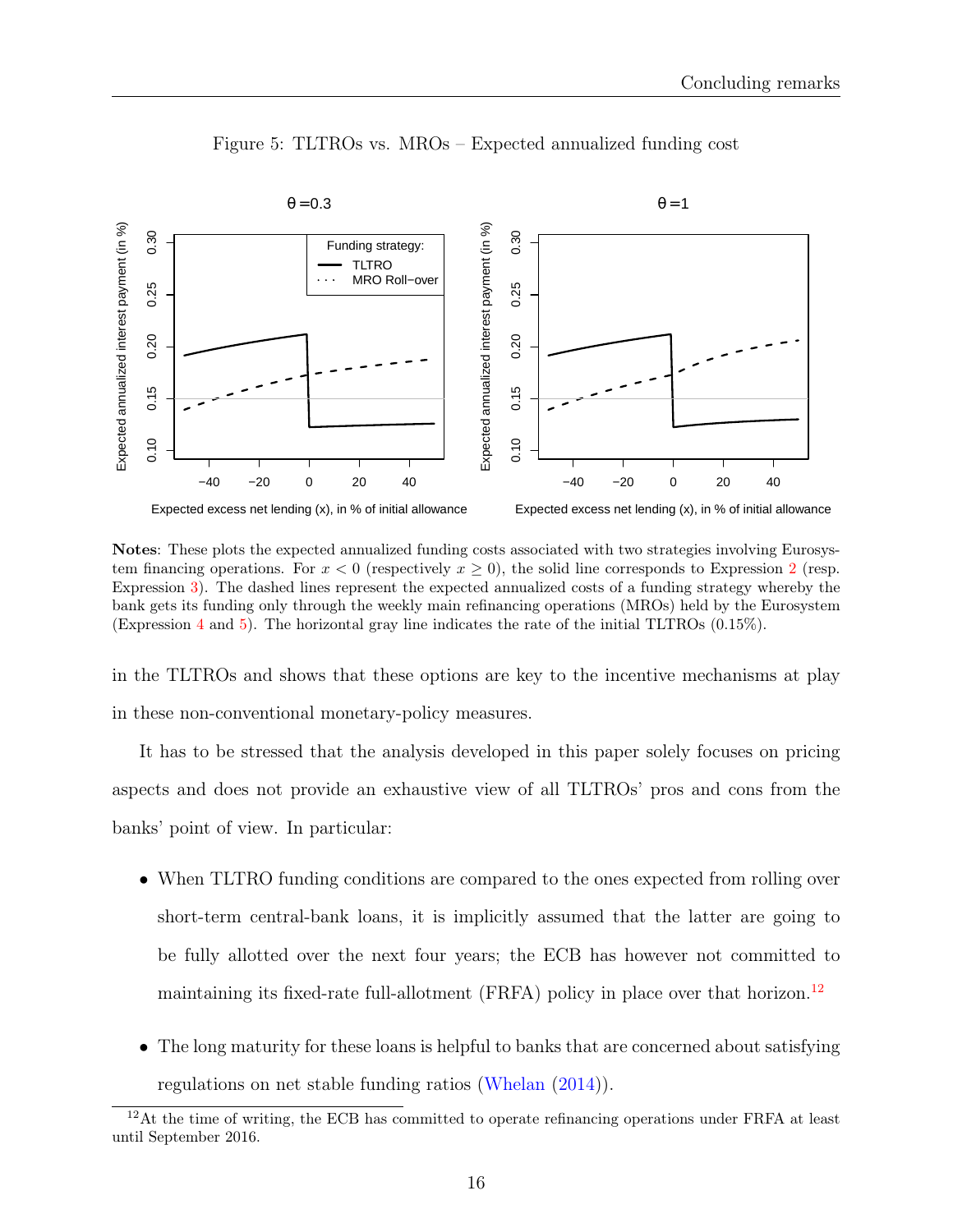<span id="page-19-0"></span>

Figure 5: TLTROs vs. MROs – Expected annualized funding cost

Notes: These plots the expected annualized funding costs associated with two strategies involving Eurosystem financing operations. For  $x < 0$  (respectively  $x \ge 0$ ), the solid line corresponds to Expression [2](#page-17-1) (resp. Expression [3\)](#page-17-0). The dashed lines represent the expected annualized costs of a funding strategy whereby the bank gets its funding only through the weekly main refinancing operations (MROs) held by the Eurosystem (Expression [4](#page-18-1) and [5\)](#page-18-1). The horizontal gray line indicates the rate of the initial TLTROs (0.15%).

in the TLTROs and shows that these options are key to the incentive mechanisms at play in these non-conventional monetary-policy measures.

It has to be stressed that the analysis developed in this paper solely focuses on pricing aspects and does not provide an exhaustive view of all TLTROs' pros and cons from the banks' point of view. In particular:

- When TLTRO funding conditions are compared to the ones expected from rolling over short-term central-bank loans, it is implicitly assumed that the latter are going to be fully allotted over the next four years; the ECB has however not committed to maintaining its fixed-rate full-allotment  $(FRFA)$  policy in place over that horizon.<sup>[12](#page-2-0)</sup>
- The long maturity for these loans is helpful to banks that are concerned about satisfying regulations on net stable funding ratios [\(Whelan](#page-25-8) [\(2014\)](#page-25-8)).

<sup>&</sup>lt;sup>12</sup>At the time of writing, the ECB has committed to operate refinancing operations under FRFA at least until September 2016.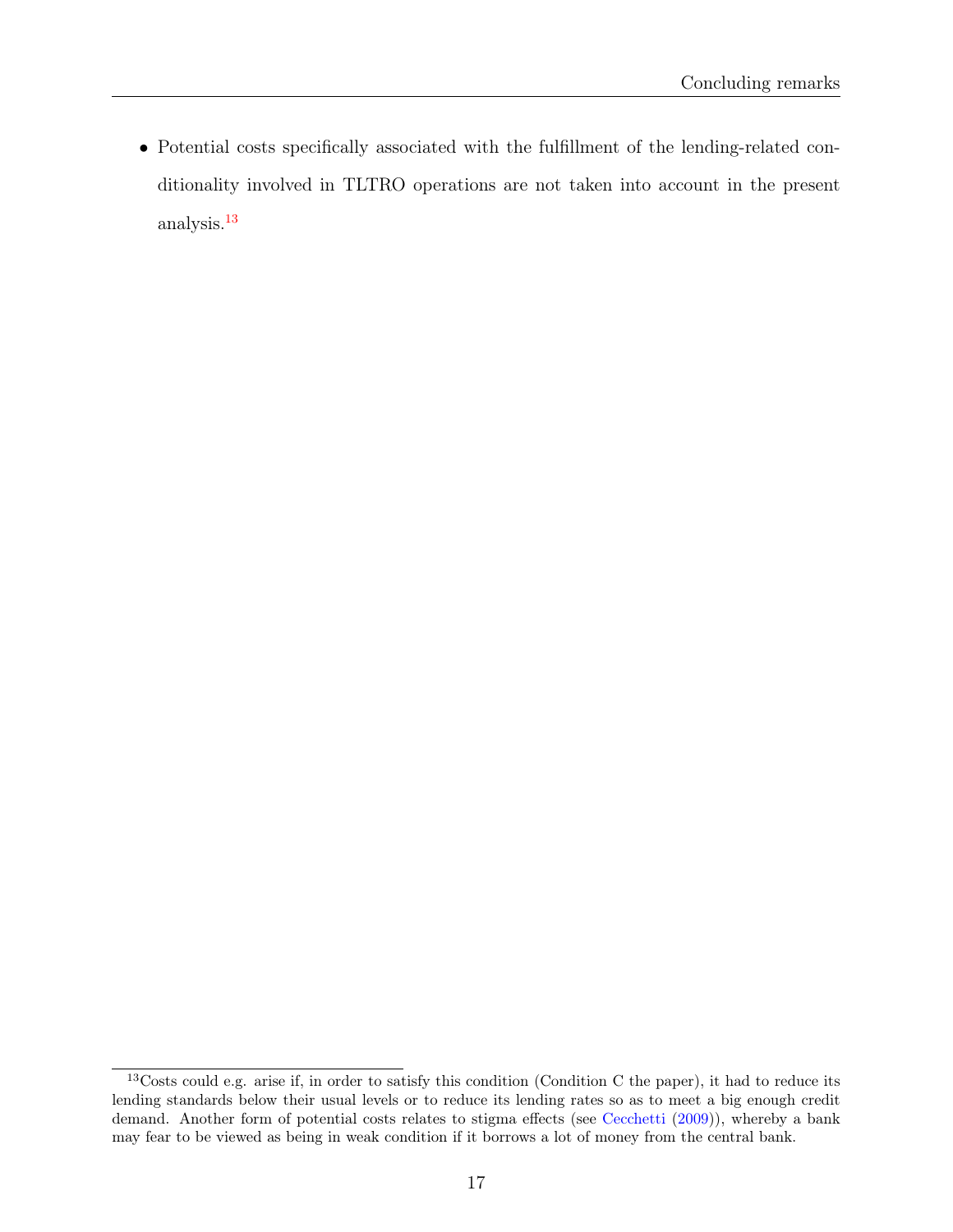• Potential costs specifically associated with the fulfillment of the lending-related conditionality involved in TLTRO operations are not taken into account in the present analysis.[13](#page-2-0)

<sup>&</sup>lt;sup>13</sup>Costs could e.g. arise if, in order to satisfy this condition (Condition C the paper), it had to reduce its lending standards below their usual levels or to reduce its lending rates so as to meet a big enough credit demand. Another form of potential costs relates to stigma effects (see [Cecchetti](#page-24-9) [\(2009\)](#page-24-9)), whereby a bank may fear to be viewed as being in weak condition if it borrows a lot of money from the central bank.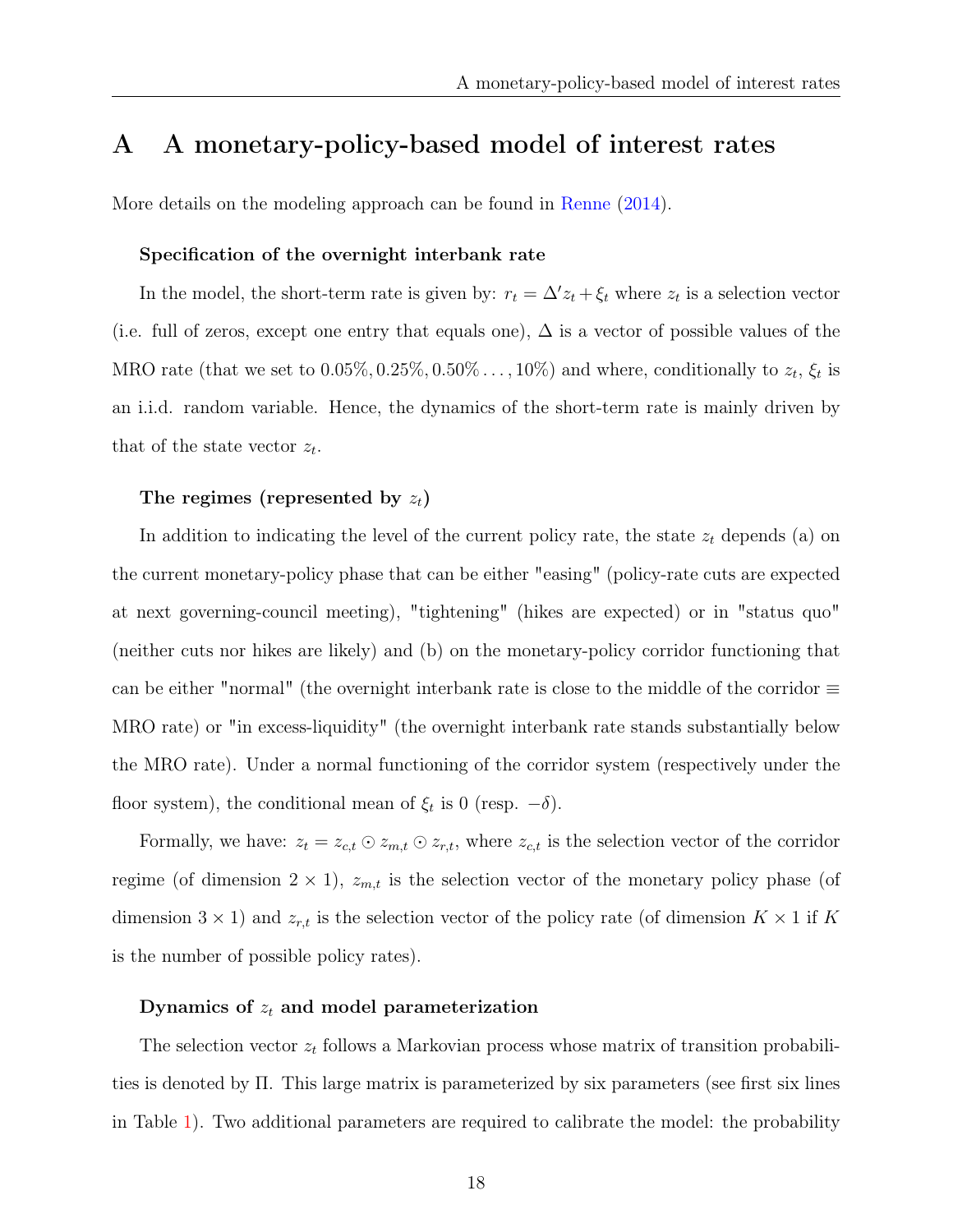## <span id="page-21-0"></span>A A monetary-policy-based model of interest rates

More details on the modeling approach can be found in [Renne](#page-25-0) [\(2014\)](#page-25-0).

#### Specification of the overnight interbank rate

In the model, the short-term rate is given by:  $r_t = \Delta' z_t + \xi_t$  where  $z_t$  is a selection vector (i.e. full of zeros, except one entry that equals one),  $\Delta$  is a vector of possible values of the MRO rate (that we set to  $0.05\%, 0.25\%, 0.50\% \ldots, 10\%$ ) and where, conditionally to  $z_t$ ,  $\xi_t$  is an i.i.d. random variable. Hence, the dynamics of the short-term rate is mainly driven by that of the state vector  $z_t$ .

#### The regimes (represented by  $z_t$ )

In addition to indicating the level of the current policy rate, the state  $z_t$  depends (a) on the current monetary-policy phase that can be either "easing" (policy-rate cuts are expected at next governing-council meeting), "tightening" (hikes are expected) or in "status quo" (neither cuts nor hikes are likely) and (b) on the monetary-policy corridor functioning that can be either "normal" (the overnight interbank rate is close to the middle of the corridor  $\equiv$ MRO rate) or "in excess-liquidity" (the overnight interbank rate stands substantially below the MRO rate). Under a normal functioning of the corridor system (respectively under the floor system), the conditional mean of  $\xi_t$  is 0 (resp.  $-\delta$ ).

Formally, we have:  $z_t = z_{c,t} \odot z_{m,t} \odot z_{r,t}$ , where  $z_{c,t}$  is the selection vector of the corridor regime (of dimension  $2 \times 1$ ),  $z_{m,t}$  is the selection vector of the monetary policy phase (of dimension  $3 \times 1$ ) and  $z_{r,t}$  is the selection vector of the policy rate (of dimension  $K \times 1$  if K is the number of possible policy rates).

#### Dynamics of  $z_t$  and model parameterization

The selection vector  $z_t$  follows a Markovian process whose matrix of transition probabilities is denoted by Π. This large matrix is parameterized by six parameters (see first six lines in Table [1\)](#page-22-0). Two additional parameters are required to calibrate the model: the probability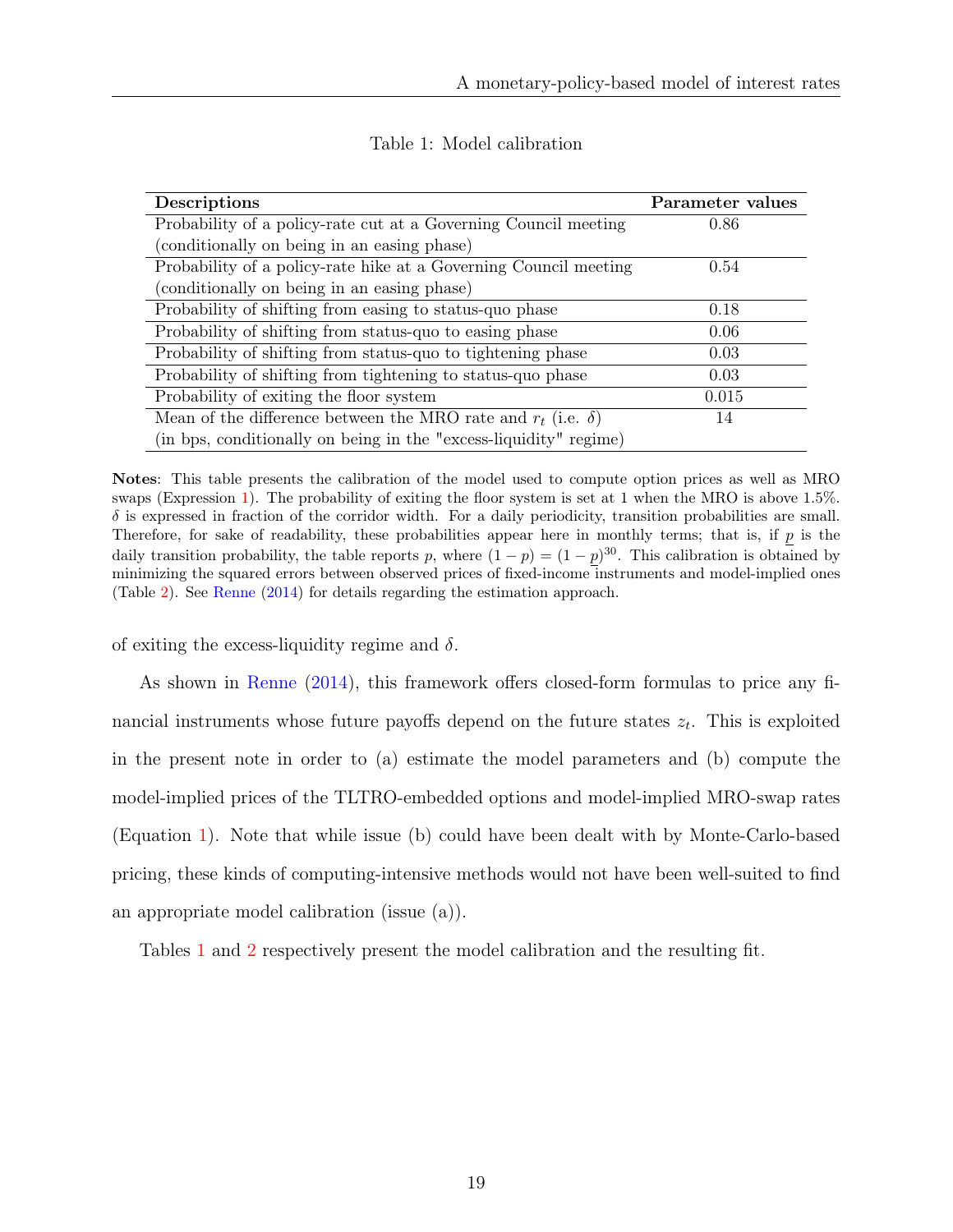<span id="page-22-0"></span>

| Descriptions                                                           | Parameter values |
|------------------------------------------------------------------------|------------------|
| Probability of a policy-rate cut at a Governing Council meeting        | 0.86             |
| (conditionally on being in an easing phase)                            |                  |
| Probability of a policy-rate hike at a Governing Council meeting       | 0.54             |
| (conditionally on being in an easing phase)                            |                  |
| Probability of shifting from easing to status-quo phase                | 0.18             |
| Probability of shifting from status-quo to easing phase                | 0.06             |
| Probability of shifting from status-quo to tightening phase            | 0.03             |
| Probability of shifting from tightening to status-quo phase            | 0.03             |
| Probability of exiting the floor system                                | 0.015            |
| Mean of the difference between the MRO rate and $r_t$ (i.e. $\delta$ ) | 14               |
| (in bps, conditionally on being in the "excess-liquidity" regime)      |                  |

Table 1: Model calibration

Notes: This table presents the calibration of the model used to compute option prices as well as MRO swaps (Expression [1\)](#page-11-1). The probability of exiting the floor system is set at 1 when the MRO is above 1.5%.  $\delta$  is expressed in fraction of the corridor width. For a daily periodicity, transition probabilities are small. Therefore, for sake of readability, these probabilities appear here in monthly terms; that is, if p is the daily transition probability, the table reports p, where  $(1-p) = (1-p)^{30}$ . This calibration is obtained by minimizing the squared errors between observed prices of fixed-income instruments and model-implied ones (Table [2\)](#page-23-0). See [Renne](#page-25-0) [\(2014\)](#page-25-0) for details regarding the estimation approach.

of exiting the excess-liquidity regime and  $\delta$ .

As shown in [Renne](#page-25-0) [\(2014\)](#page-25-0), this framework offers closed-form formulas to price any financial instruments whose future payoffs depend on the future states  $z_t$ . This is exploited in the present note in order to (a) estimate the model parameters and (b) compute the model-implied prices of the TLTRO-embedded options and model-implied MRO-swap rates (Equation [1\)](#page-11-1). Note that while issue (b) could have been dealt with by Monte-Carlo-based pricing, these kinds of computing-intensive methods would not have been well-suited to find an appropriate model calibration (issue (a)).

Tables [1](#page-22-0) and [2](#page-23-0) respectively present the model calibration and the resulting fit.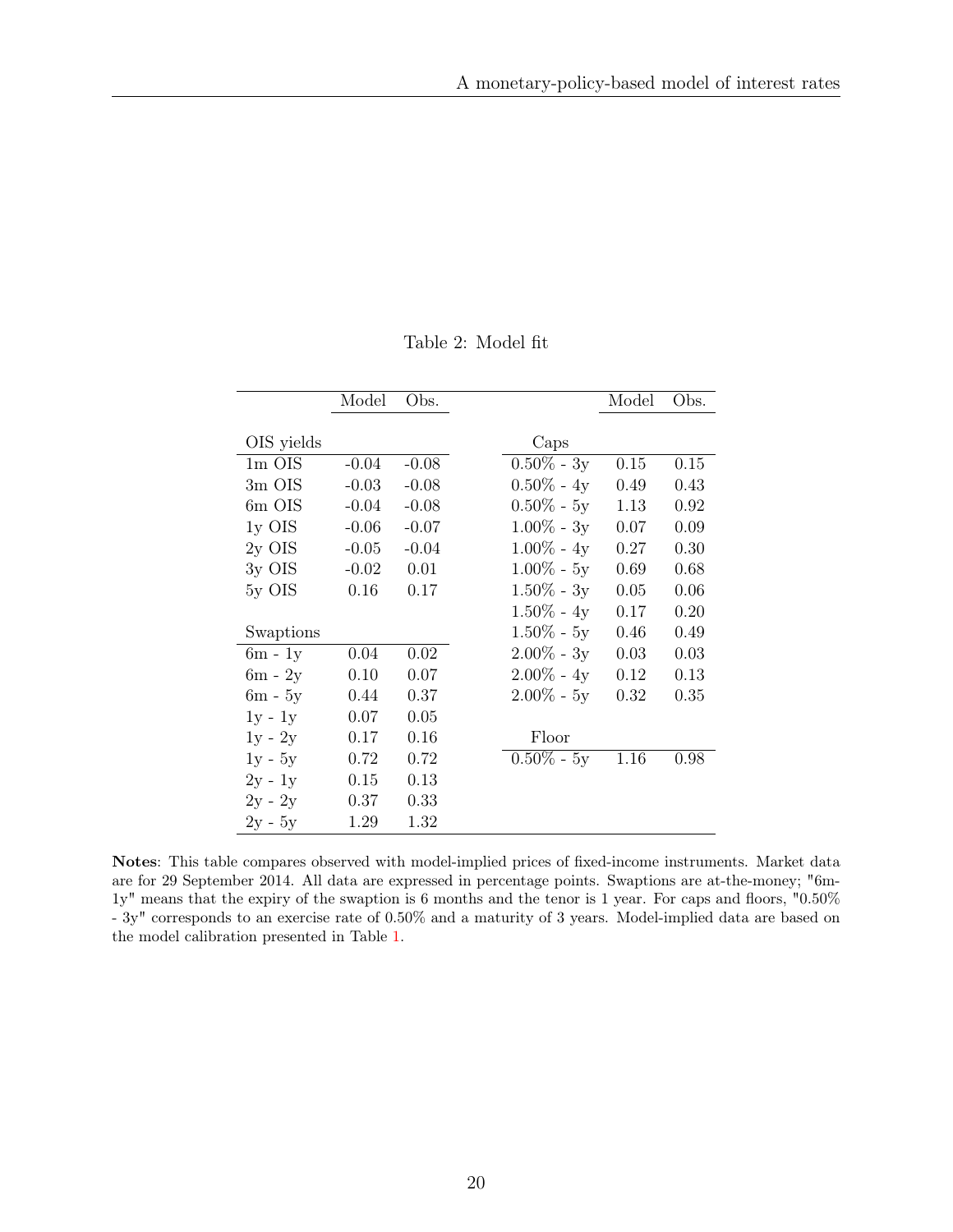| Table 2: Model fit |  |  |
|--------------------|--|--|
|--------------------|--|--|

<span id="page-23-0"></span>

|            | Model   | Obs.    |               | Model | Obs. |
|------------|---------|---------|---------------|-------|------|
|            |         |         |               |       |      |
| OIS yields |         |         | Caps          |       |      |
| $1m$ OIS   | $-0.04$ | $-0.08$ | $0.50\%$ - 3y | 0.15  | 0.15 |
| 3m OIS     | $-0.03$ | $-0.08$ | $0.50\% - 4y$ | 0.49  | 0.43 |
| 6m OIS     | $-0.04$ | $-0.08$ | $0.50\%$ - 5y | 1.13  | 0.92 |
| $1y$ OIS   | $-0.06$ | $-0.07$ | $1.00\% - 3y$ | 0.07  | 0.09 |
| $2y$ OIS   | $-0.05$ | $-0.04$ | $1.00\% - 4y$ | 0.27  | 0.30 |
| $3y$ OIS   | $-0.02$ | 0.01    | $1.00\% - 5y$ | 0.69  | 0.68 |
| 5y OIS     | 0.16    | 0.17    | $1.50\%$ - 3y | 0.05  | 0.06 |
|            |         |         | $1.50\%$ - 4y | 0.17  | 0.20 |
| Swaptions  |         |         | $1.50\%$ - 5y | 0.46  | 0.49 |
| $6m - 1y$  | 0.04    | 0.02    | $2.00\% - 3y$ | 0.03  | 0.03 |
| $6m - 2y$  | 0.10    | 0.07    | $2.00\% - 4y$ | 0.12  | 0.13 |
| $6m - 5y$  | 0.44    | 0.37    | $2.00\%$ - 5y | 0.32  | 0.35 |
| $1y - 1y$  | 0.07    | 0.05    |               |       |      |
| $1y - 2y$  | 0.17    | 0.16    | Floor         |       |      |
| $1y - 5y$  | 0.72    | 0.72    | $0.50\% - 5y$ | 1.16  | 0.98 |
| $2y - 1y$  | 0.15    | 0.13    |               |       |      |
| $2y - 2y$  | 0.37    | 0.33    |               |       |      |
| $2y - 5y$  | 1.29    | 1.32    |               |       |      |

Notes: This table compares observed with model-implied prices of fixed-income instruments. Market data are for 29 September 2014. All data are expressed in percentage points. Swaptions are at-the-money; "6m-1y" means that the expiry of the swaption is 6 months and the tenor is 1 year. For caps and floors, "0.50% - 3y" corresponds to an exercise rate of 0.50% and a maturity of 3 years. Model-implied data are based on the model calibration presented in Table [1.](#page-22-0)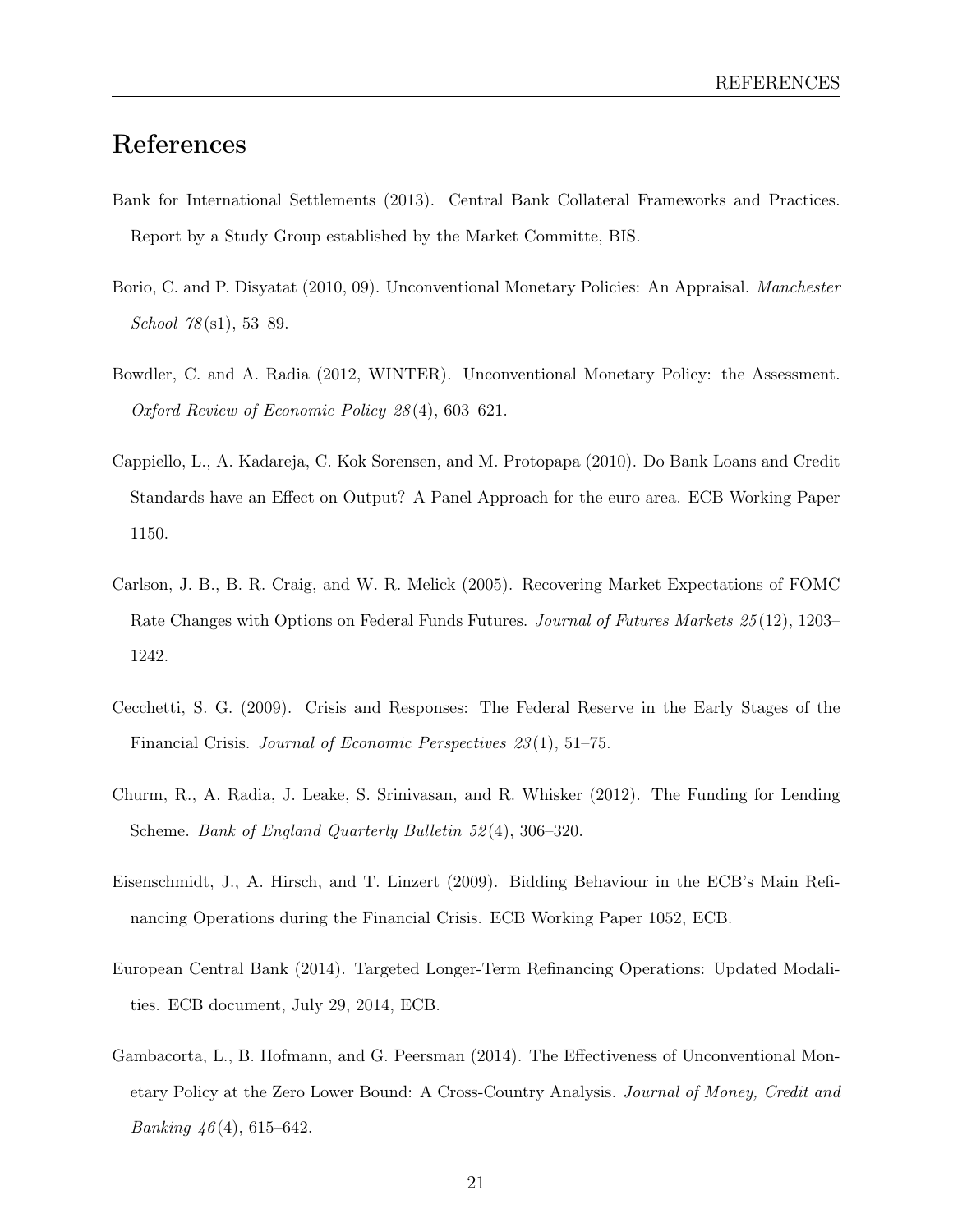## References

- <span id="page-24-7"></span>Bank for International Settlements (2013). Central Bank Collateral Frameworks and Practices. Report by a Study Group established by the Market Committe, BIS.
- <span id="page-24-0"></span>Borio, C. and P. Disyatat (2010, 09). Unconventional Monetary Policies: An Appraisal. Manchester School 78 (s1), 53–89.
- <span id="page-24-1"></span>Bowdler, C. and A. Radia (2012, WINTER). Unconventional Monetary Policy: the Assessment. Oxford Review of Economic Policy 28 (4), 603–621.
- <span id="page-24-3"></span>Cappiello, L., A. Kadareja, C. Kok Sorensen, and M. Protopapa (2010). Do Bank Loans and Credit Standards have an Effect on Output? A Panel Approach for the euro area. ECB Working Paper 1150.
- <span id="page-24-8"></span>Carlson, J. B., B. R. Craig, and W. R. Melick (2005). Recovering Market Expectations of FOMC Rate Changes with Options on Federal Funds Futures. Journal of Futures Markets 25(12), 1203– 1242.
- <span id="page-24-9"></span>Cecchetti, S. G. (2009). Crisis and Responses: The Federal Reserve in the Early Stages of the Financial Crisis. Journal of Economic Perspectives 23 (1), 51–75.
- <span id="page-24-4"></span>Churm, R., A. Radia, J. Leake, S. Srinivasan, and R. Whisker (2012). The Funding for Lending Scheme. Bank of England Quarterly Bulletin 52 (4), 306–320.
- <span id="page-24-6"></span>Eisenschmidt, J., A. Hirsch, and T. Linzert (2009). Bidding Behaviour in the ECB's Main Refinancing Operations during the Financial Crisis. ECB Working Paper 1052, ECB.
- <span id="page-24-5"></span>European Central Bank (2014). Targeted Longer-Term Refinancing Operations: Updated Modalities. ECB document, July 29, 2014, ECB.
- <span id="page-24-2"></span>Gambacorta, L., B. Hofmann, and G. Peersman (2014). The Effectiveness of Unconventional Monetary Policy at the Zero Lower Bound: A Cross-Country Analysis. Journal of Money, Credit and *Banking*  $46(4)$ , 615–642.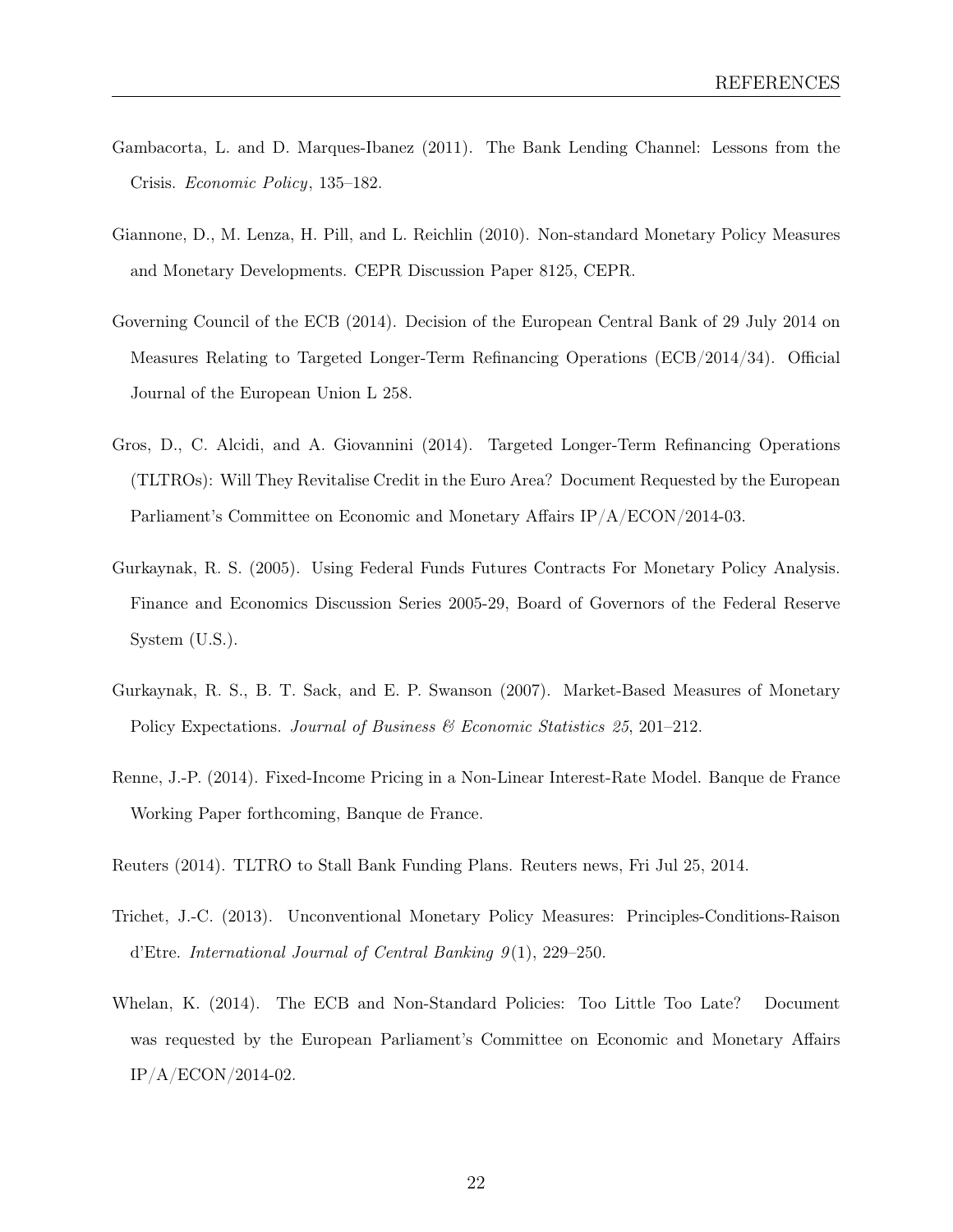- <span id="page-25-3"></span>Gambacorta, L. and D. Marques-Ibanez (2011). The Bank Lending Channel: Lessons from the Crisis. Economic Policy, 135–182.
- <span id="page-25-2"></span>Giannone, D., M. Lenza, H. Pill, and L. Reichlin (2010). Non-standard Monetary Policy Measures and Monetary Developments. CEPR Discussion Paper 8125, CEPR.
- <span id="page-25-4"></span>Governing Council of the ECB (2014). Decision of the European Central Bank of 29 July 2014 on Measures Relating to Targeted Longer-Term Refinancing Operations (ECB/2014/34). Official Journal of the European Union L 258.
- Gros, D., C. Alcidi, and A. Giovannini (2014). Targeted Longer-Term Refinancing Operations (TLTROs): Will They Revitalise Credit in the Euro Area? Document Requested by the European Parliament's Committee on Economic and Monetary Affairs IP/A/ECON/2014-03.
- <span id="page-25-6"></span>Gurkaynak, R. S. (2005). Using Federal Funds Futures Contracts For Monetary Policy Analysis. Finance and Economics Discussion Series 2005-29, Board of Governors of the Federal Reserve System (U.S.).
- <span id="page-25-7"></span>Gurkaynak, R. S., B. T. Sack, and E. P. Swanson (2007). Market-Based Measures of Monetary Policy Expectations. Journal of Business & Economic Statistics 25, 201-212.
- <span id="page-25-0"></span>Renne, J.-P. (2014). Fixed-Income Pricing in a Non-Linear Interest-Rate Model. Banque de France Working Paper forthcoming, Banque de France.
- <span id="page-25-5"></span>Reuters (2014). TLTRO to Stall Bank Funding Plans. Reuters news, Fri Jul 25, 2014.
- <span id="page-25-1"></span>Trichet, J.-C. (2013). Unconventional Monetary Policy Measures: Principles-Conditions-Raison d'Etre. International Journal of Central Banking  $9(1)$ , 229–250.
- <span id="page-25-8"></span>Whelan, K. (2014). The ECB and Non-Standard Policies: Too Little Too Late? Document was requested by the European Parliament's Committee on Economic and Monetary Affairs IP/A/ECON/2014-02.